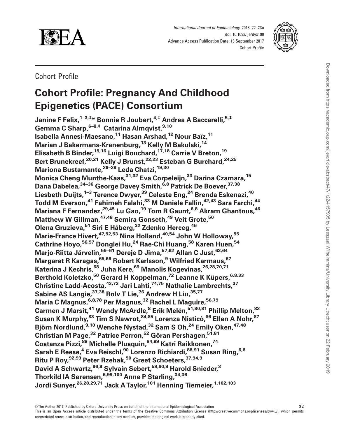

International Journal of Epidemiology, 2018, 22–23u doi: 10.1093/ije/dyx190 Advance Access Publication Date: 13 September 2017 Cohort Profile



## Cohort Profile

# Cohort Profile: Pregnancy And Childhood Epigenetics (PACE) Consortium

Janine F Felix, <sup>1-3,‡</sup>\* Bonnie R Joubert, <sup>4,‡</sup> Andrea A Baccarelli, <sup>5,‡</sup> Gemma C Sharp, 6-8,<sup>‡</sup> Catarina Almqvist.<sup>9,10</sup> Isabella Annesi-Maesano,<sup>11</sup> Hasan Arshad,<sup>12</sup> Nour Baïz,<sup>11</sup> Marian J Bakermans-Kranenburg,<sup>13</sup> Kelly M Bakulski,<sup>14</sup> Elisabeth B Binder,  $15,16$  Luigi Bouchard,  $17,18$  Carrie V Breton,  $19$ Bert Brunekreef,<sup>20,21</sup> Kelly J Brunst,<sup>22,23</sup> Esteban G Burchard,<sup>24,25</sup> Mariona Bustamante, <sup>26–29</sup> Leda Chatzi, <sup>19,30</sup> Monica Cheng Munthe-Kaas,  $31,32$  Eva Corpeleijn,  $33$  Darina Czamara,  $15$ Dana Dabelea, 34-36 George Davey Smith, 6,8 Patrick De Boever, 37,38 Liesbeth Duijts, <sup>1-3</sup> Terence Dwyer, <sup>39</sup> Celeste Eng, <sup>24</sup> Brenda Eskenazi, <sup>40</sup> Todd M Everson, 41 Fahimeh Falahi, 33 M Daniele Fallin, 42, 43 Sara Farchi, 44 Mariana F Fernandez, <sup>29,45</sup> Lu Gao, <sup>19</sup> Tom R Gaunt, <sup>6,8</sup> Akram Ghantous, <sup>46</sup> Matthew W Gillman, <sup>47,48</sup> Semira Gonseth, <sup>49</sup> Veit Grote, <sup>50</sup> Olena Gruzieva, <sup>51</sup> Siri E Håberg, <sup>32</sup> Zdenko Herceg, <sup>46</sup> Marie-France Hivert, <sup>47,52,53</sup> Nina Holland, <sup>40,54</sup> John W Holloway, <sup>55</sup> Cathrine Hoyo,<sup>56,57</sup> Donglei Hu,<sup>24</sup> Rae-Chi Huang,<sup>58</sup> Karen Huen, 54 Marjo-Riitta Järvelin,<sup>59–61</sup> Dereje D Jima,<sup>57,62</sup> Allan C Just,<sup>63,64</sup> Margaret R Karagas,<sup>65,66</sup> Robert Karlsson,<sup>9</sup> Wilfried Karmaus,<sup>67</sup> Katerina J Kechris,<sup>68</sup> Juha Kere,<sup>69</sup> Manolis Kogevinas,<sup>26,28,70,71</sup> Berthold Koletzko,<sup>50</sup> Gerard H Koppelman,<sup>72</sup> Leanne K Küpers,<sup>6,8,33</sup> Christine Ladd-Acosta, <sup>43,73</sup> Jari Lahti, <sup>74,75</sup> Nathalie Lambrechts, <sup>37</sup> Sabine AS Langie, <sup>37,38</sup> Rolv T Lie, <sup>76</sup> Andrew H Liu, <sup>35,77</sup> Maria C Magnus,<sup>6,8,78</sup> Per Magnus,<sup>32</sup> Rachel L Maguire,<sup>56,79</sup> Carmen J Marsit,<sup>41</sup> Wendy McArdle,<sup>8</sup> Erik Melén,<sup>51,80,81</sup> Phillip Melton,<sup>82</sup> Susan K Murphy,  $83$  Tim S Nawrot,  $84,85$  Lorenza Nisticò,  $86$  Ellen A Nohr,  $87$ Björn Nordlund,<sup>9,10</sup> Wenche Nystad,<sup>32</sup> Sam S Oh,<sup>24</sup> Emily Oken,<sup>47,48</sup> Christian M Page,<sup>32</sup> Patrice Perron,<sup>52</sup> Göran Pershagen, 51,81 Costanza Pizzi,<sup>88</sup> Michelle Plusquin, 84,89 Katri Raikkonen, 74 Sarah E Reese,<sup>4</sup> Eva Reischl, <sup>90</sup> Lorenzo Richiardi, <sup>88,91</sup> Susan Ring, <sup>6,8</sup> Ritu P Roy, <sup>92,93</sup> Peter Rzehak, <sup>50</sup> Greet Schoeters, <sup>37,94,9</sup> David A Schwartz,<sup>96,9</sup> Sylvain Sebert,<sup>59,60,9</sup> Harold Snieder,<sup>3</sup> Thorkild IA Sørensen,<sup>6,99,100</sup> Anne P Starling,<sup>34,36</sup> Jordi Sunyer,<sup>26,28,29,71</sup> Jack A Taylor,<sup>101</sup> Henning Tiemeier,<sup>1,102,103</sup>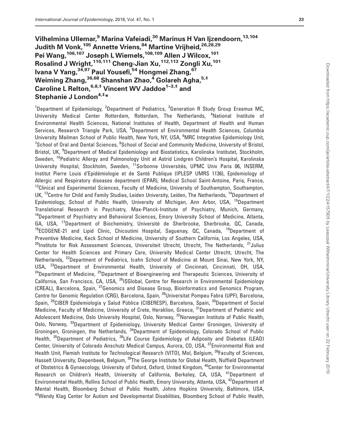Vilhelmina Ullemar,<sup>9</sup> Marina Vafeiadi,<sup>30</sup> Marinus H Van Ijzendoorn,<sup>13,104</sup> Judith M Vonk,<sup>105</sup> Annette Vriens,<sup>84</sup> Martine Vrijheid,<sup>26,28,29</sup> Pei Wang,<sup>106,107</sup> Joseph L Wiemels,<sup>108,109</sup> Allen J Wilcox,<sup>101</sup> Rosalind J Wright,<sup>110,111</sup> Cheng-Jian Xu,<sup>112,113</sup> Zongli Xu,<sup>101</sup> Ivana V Yang, 34,97 Paul Yousefi, 54 Hongmei Zhang, 67 Weiming Zhang,<sup>36,68</sup> Shanshan Zhao,<sup>4</sup> Golareh Agha,<sup>5,‡</sup> Caroline L Relton, $^{6,8,\ddag}$  Vincent WV Jaddoe $^{1\text{--}3,\ddag}$  and Stephanie J London<sup>4,‡\*</sup>

<sup>1</sup>Department of Epidemiology, <sup>2</sup>Department of Pediatrics, <sup>3</sup>Generation R Study Group Erasmus MC, University Medical Center Rotterdam, Rotterdam, The Netherlands, <sup>4</sup>National Institute of Environmental Health Sciences, National Institutes of Health, Department of Health and Human Services, Research Triangle Park, USA, <sup>5</sup>Department of Environmental Health Sciences, Columbia University Mailman School of Public Health, New York, NY, USA, <sup>6</sup>MRC Integrative Epidemiology Unit,  $^7$ School of Oral and Dental Sciences,  $^8$ School of Social and Community Medicine, University of Bristol, Bristol, UK, <sup>9</sup>Department of Medical Epidemiology and Biostatistics, Karolinska Institutet, Stockholm, Sweden, <sup>10</sup>Pediatric Allergy and Pulmonology Unit at Astrid Lindgren Children's Hospital, Karolinska University Hospital, Stockholm, Sweden, <sup>11</sup>Sorbonne Universités, UPMC Univ Paris 06, INSERM, Institut Pierre Louis d'Epidémiologie et de Santé Publique (IPLESP UMRS 1136), Epidemiology of Allergic and Respiratory diseases department (EPAR), Medical School Saint-Antoine, Paris, France, <sup>12</sup>Clinical and Experimental Sciences, Faculty of Medicine, University of Southampton, Southampton, UK, <sup>13</sup>Centre for Child and Family Studies, Leiden University, Leiden, The Netherlands, <sup>14</sup>Department of Epidemiology, School of Public Health, University of Michigan, Ann Arbor, USA, 15Department Translational Research in Psychiatry, Max-Planck-Institute of Psychiatry, Munich, Germany, <sup>16</sup>Department of Psychiatry and Behavioral Sciences, Emory University School of Medicine, Atlanta, GA, USA, <sup>17</sup>Department of Biochemistry, Université de Sherbrooke, Sherbrooke, QC, Canada, <sup>18</sup>ECOGENE-21 and Lipid Clinic, Chicoutimi Hospital, Saquenay, QC, Canada, <sup>19</sup>Department of Preventive Medicine, Keck School of Medicine, University of Southern California, Los Angeles, USA, <sup>20</sup>Institute for Risk Assessment Sciences, Universiteit Utrecht, Utrecht, The Netherlands, <sup>21</sup>Julius Center for Health Sciences and Primary Care, University Medical Center Utrecht, Utrecht, The Netherlands, <sup>22</sup>Department of Pediatrics, Icahn School of Medicine at Mount Sinai, New York, NY, USA, 23Department of Environmental Health, University of Cincinnati, Cincinnati, OH, USA, <sup>24</sup>Department of Medicine, <sup>25</sup>Department of Bioengineering and Therapeutic Sciences, University of California, San Francisco, CA, USA, <sup>26</sup>ISGlobal, Centre for Research in Environmental Epidemiology (CREAL), Barcelona, Spain, 27Genomics and Disease Group, Bioinformatics and Genomics Program, Centre for Genomic Regulation (CRG), Barcelona, Spain, 28Universitat Pompeu Fabra (UPF), Barcelona, Spain, <sup>29</sup>CIBER Epidemiología y Salud Pública (CIBERESP), Barcelona, Spain, <sup>30</sup>Department of Social Medicine, Faculty of Medicine, University of Crete, Heraklion, Greece, 31Department of Pediatric and Adolescent Medicine, Oslo University Hospital, Oslo, Norway, <sup>32</sup>Norwegian Institute of Public Health, Oslo, Norway, 33Department of Epidemiology, University Medical Center Groningen, University of Groningen, Groningen, the Netherlands, <sup>34</sup>Department of Epidemiology, Colorado School of Public Health, <sup>35</sup>Department of Pediatrics, <sup>36</sup>Life Course Epidemiology of Adiposity and Diabetes (LEAD) Center, University of Colorado Anschutz Medical Campus, Aurora, CO, USA, 37Environmental Risk and Health Unit, Flemish Institute for Technological Research (VITO), Mol, Belgium, <sup>38</sup>Faculty of Sciences, Hasselt University, Diepenbeek, Belgium, 39The George Institute for Global Health, Nuffield Department of Obstetrics & Gynaecology, University of Oxford, Oxford, United Kingdom, <sup>40</sup>Center for Environmental Research on Children's Health, University of California, Berkeley, CA, USA, <sup>41</sup>Department of Environmental Health, Rollins School of Public Health, Emory University, Atlanta, USA, 42Department of Mental Health, Bloomberg School of Public Health, Johns Hopkins University, Baltimore, USA, <sup>43</sup>Wendy Klag Center for Autism and Developmental Disabilities, Bloomberg School of Public Health,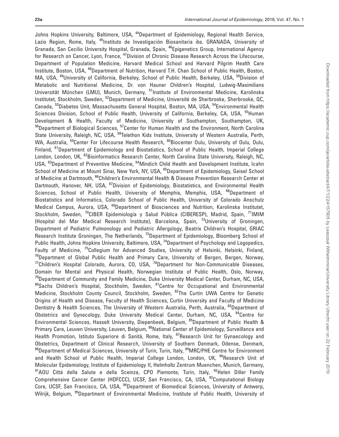Johns Hopkins University, Baltimore, USA, <sup>44</sup>Department of Epidemiology, Regional Health Service, Lazio Region, Rome, Italy, <sup>45</sup>Instituto de Investigación Biosanitaria ibs. GRANADA, University of Granada, San Cecilio University Hospital, Granada, Spain, 46Epigenetics Group, International Agency for Research on Cancer, Lyon, France, <sup>47</sup>Division of Chronic Disease Research Across the Lifecourse, Department of Population Medicine, Harvard Medical School and Harvard Pilgrim Health Care Institute, Boston, USA, 48Department of Nutrition, Harvard T.H. Chan School of Public Health, Boston, MA, USA, 49University of California, Berkeley, School of Public Health, Berkeley, USA, 50Division of Metabolic and Nutritional Medicine, Dr. von Hauner Children's Hospital, Ludwig-Maximilians Universität München (LMU), Munich, Germany, <sup>51</sup>Institute of Environmental Medicine, Karolinska Institutet, Stockholm, Sweden, <sup>52</sup>Department of Medicine, Université de Sherbrooke, Sherbrooke, QC, Canada, 53Diabetes Unit, Massachusetts General Hospital, Boston, MA, USA, 54Environmental Health Sciences Division, School of Public Health, University of California, Berkeley, CA, USA, <sup>55</sup>Human Development & Health, Faculty of Medicine, University of Southampton, Southampton, UK, <sup>56</sup>Department of Biological Sciences, <sup>57</sup>Center for Human Health and the Environment, North Carolina State University, Raleigh, NC, USA, <sup>58</sup>Telethon Kids Institute, University of Western Australia, Perth, WA, Australia, <sup>59</sup>Center For Lifecourse Health Research, <sup>60</sup>Biocenter Oulu, University of Oulu, Oulu, Finland, <sup>61</sup>Department of Epidemiology and Biostatistics, School of Public Health, Imperial College London, London, UK, <sup>62</sup>Bioinformatics Research Center, North Carolina State University, Raleigh, NC, USA, <sup>63</sup>Department of Preventive Medicine, <sup>64</sup>Mindich Child Health and Development Institute, Icahn School of Medicine at Mount Sinai, New York, NY, USA, <sup>65</sup>Department of Epidemiology, Geisel School of Medicine at Dartmouth, <sup>66</sup>Children's Environmental Health & Disease Prevention Research Center at Dartmouth, Hanover, NH, USA, <sup>67</sup>Division of Epidemiology, Biostatistics, and Environmental Health Sciences, School of Public Health, University of Memphis, Memphis, USA, <sup>68</sup>Department of Biostatistics and Informatics, Colorado School of Public Health, University of Colorado Anschutz Medical Campus, Aurora, USA, <sup>69</sup>Department of Biosciences and Nutrition, Karolinska Institutet, Stockholm, Sweden, <sup>70</sup>CIBER Epidemiología y Salud Pública (CIBERESP), Madrid, Spain, <sup>71</sup>IMIM (Hospital del Mar Medical Research Institute), Barcelona, Spain, <sup>72</sup>University of Groningen, Department of Pediatric Pulmonology and Pediatric Allergology, Beatrix Children's Hospital, GRIAC Research Institute Groningen, The Netherlands, <sup>73</sup>Department of Epidemiology, Bloomberg School of Public Health, Johns Hopkins University, Baltimore, USA, <sup>74</sup>Department of Psychology and Logopedics, Faulty of Medicine, <sup>75</sup>Collegium for Advanced Studies, University of Helsinki, Helsinki, Finland, <sup>76</sup>Department of Global Public Health and Primary Care, University of Bergen, Bergen, Norway,  $77$ Children's Hospital Colorado, Aurora, CO, USA,  $78$ Department for Non-Communicable Diseases, Domain for Mental and Physical Health, Norwegian Institute of Public Health, Oslo, Norway, <sup>79</sup>Department of Community and Family Medicine, Duke University Medical Center, Durham, NC, USA, <sup>80</sup>Sachs Children's Hospital, Stockholm, Sweden, <sup>81</sup>Centre for Occupational and Environmental Medicine, Stockholm County Council, Stockholm, Sweden, 82The Curtin UWA Centre for Genetic Origins of Health and Disease, Faculty of Health Sciences, Curtin University and Faculty of Medicine Dentistry & Health Sciences, The University of Western Australia, Perth, Australia, <sup>83</sup>Department of Obstetrics and Gynecology, Duke University Medical Center, Durham, NC, USA, 84Centre for Environmental Sciences, Hasselt University, Diepenbeek, Belgium, 85Department of Public Health & Primary Care, Leuven University, Leuven, Belgium, <sup>86</sup>National Center of Epidemiology, Surveillance and Health Promotion, Istituto Superiore di Sanità, Rome, Italy, <sup>87</sup>Research Unit for Gynaecology and Obstetrics, Department of Clinical Research, University of Southern Denmark, Odense, Denmark, 88Department of Medical Sciences, University of Turin, Turin, Italy, 89MRC/PHE Centre for Environment and Health School of Public Health, Imperial College London, London, UK, <sup>90</sup>Research Unit of Molecular Epidemiology, Institute of Epidemiology II, Helmholtz Zentrum Muenchen, Munich, Germany, <sup>91</sup>AOU Città della Salute e della Sceinza, CPO Piemonte, Turin, Italy, <sup>92</sup>Helen Diller Family Comprehensive Cancer Center (HDFCCC), UCSF, San Francisco, CA, USA, 93Computational Biology Core, UCSF, San Francisco, CA, USA, 94Department of Biomedical Sciences, University of Antwerp, Wilrijk, Belgium, <sup>95</sup>Department of Environmental Medicine, Institute of Public Health, University of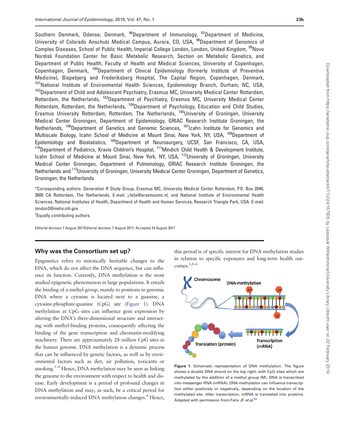Southern Denmark, Odense, Denmark, <sup>96</sup>Department of Immunology, <sup>97</sup>Department of Medicine, University of Colorado Anschutz Medical Campus, Aurora, CO, USA, <sup>98</sup>Department of Genomics of Complex Diseases, School of Public Health, Imperial College London, London, United Kingdom, <sup>99</sup>Novo Nordisk Foundation Center for Basic Metabolic Research, Section on Metabolic Genetics, and Department of Public Health, Faculty of Health and Medical Sciences, University of Copenhagen, Copenhagen, Denmark, <sup>100</sup>Department of Clinical Epidemiology (formerly Institute of Preventive Medicine), Bispebjerg and Frederiksberg Hospital, The Capital Region, Copenhagen, Denmark, <sup>101</sup>National Institute of Environmental Health Sciences, Epidemiology Branch, Durham, NC, USA, <sup>102</sup>Department of Child and Adolescent Psychiatry, Erasmus MC, University Medical Center Rotterdam, Rotterdam, the Netherlands, <sup>103</sup>Department of Psychiatry, Erasmus MC, University Medical Center Rotterdam, Rotterdam, the Netherlands, <sup>104</sup>Department of Psychology, Education and Child Studies, Erasmus University Rotterdam, Rotterdam, The Netherlands, <sup>105</sup>University of Groningen, University Medical Center Groningen, Department of Epidemiology, GRIAC Research Institute Groningen, the Netherlands, <sup>106</sup>Department of Genetics and Genomic Sciences, <sup>107</sup>Icahn Institute for Genomics and Multiscale Biology, Icahn School of Medicine at Mount Sinai, New York, NY, USA, <sup>108</sup>Department of Epidemiology and Biostatistics, 109Department of Neurosurgery, UCSF, San Francisco, CA, USA, <sup>110</sup>Department of Pediatrics, Kravis Children's Hospital, <sup>111</sup>Mindich Child Health & Development Institute, Icahn School of Medicine at Mount Sinai, New York, NY, USA, <sup>112</sup>University of Groningen, University Medical Center Groningen, Department of Pulmonology, GRIAC Research Institute Groningen, the Netherlands and <sup>113</sup>University of Groningen, University Medical Center Groningen, Department of Genetics, Groningen, the Netherlands

\*Corresponding authors. Generation R Study Group, Erasmus MC, University Medical Center Rotterdam, P.O. Box 2040, 3000 CA Rotterdam, The Netherlands. E-mail: j.felix@erasmusmc.nl; and National Institute of Environmental Health Sciences, National Institutes of Health, Department of Health and Human Services, Research Triangle Park, USA. E-mail: london2@niehs.nih.gov

‡ Equally contributing authors.

Editorial decision 7 August 2017Editorial decision 7 August 2017; Accepted 24 August 2017

### Why was the Consortium set up?

Epigenetics refers to mitotically heritable changes to the DNA, which do not affect the DNA sequence, but can influence its function. Currently, DNA methylation is the most studied epigenetic phenomenon in large populations. It entails the binding of a methyl group, mainly to positions in genomic DNA where a cytosine is located next to a guanine, a cytosine-phosphate-guanine (CpG) site (Figure 1). DNA methylation at CpG sites can influence gene expression by altering the DNA's three-dimensional structure and interacting with methyl-binding proteins, consequently affecting the binding of the gene transcription and chromatin-modifying machinery. There are approximately 28 million CpG sites in the human genome. DNA methylation is a dynamic process that can be influenced by genetic factors, as well as by environmental factors such as diet, air pollution, toxicants or smoking.<sup>[1](#page-20-0)–[4](#page-20-0)</sup> Hence, DNA methylation may be seen as linking the genome to the environment with respect to health and disease. Early development is a period of profound changes in DNA methylation and may, as such, be a critical period for environmentally-induced DNA methylation changes.<sup>4</sup> Hence,

this period is of specific interest for DNA methylation studies in relation to specific exposures and long-term health outcomes[.1,4–6](#page-20-0)



Figure 1. Schematic representation of DNA methylation. The figure shows a double DNA strand on the top right, with CpG sites which are methylated by the addition of a methyl group (M). DNA is transcribed into messenger RNA (mRNA). DNA methylation can influence transcription either positively or negatively, depending on the location of the methylated site. After transcription, mRNA is translated into proteins. Adapted with permission from Felix JF et al.<sup>[64](#page-22-0)</sup>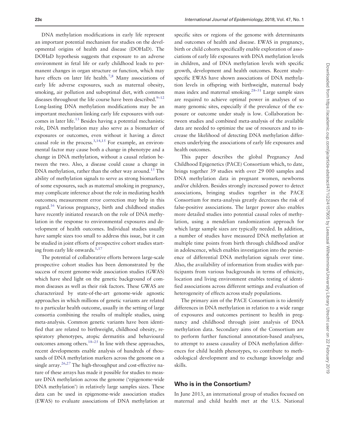DNA methylation modifications in early life represent an important potential mechanism for studies on the developmental origins of health and disease (DOHaD). The DOHaD hypothesis suggests that exposure to an adverse environment in fetal life or early childhood leads to permanent changes in organ structure or function, which may have effects on later life health.<sup>[7,8](#page-20-0)</sup> Many associations of early life adverse exposures, such as maternal obesity, smoking, air pollution and suboptimal diet, with common diseases throughout the life course have been described. $9-12$  $9-12$ Long-lasting DNA methylation modifications may be an important mechanism linking early life exposures with outcomes in later life.[13](#page-20-0) Besides having a potential mechanistic role, DNA methylation may also serve as a biomarker of exposures or outcomes, even without it having a direct causal role in the process.  $3,14,15$  $3,14,15$  For example, an environmental factor may cause both a change in phenotype and a change in DNA methylation, without a causal relation between the two. Also, a disease could cause a change in DNA methylation, rather than the other way around.<sup>15</sup> The ability of methylation signals to serve as strong biomarkers of some exposures, such as maternal smoking in pregnancy, may complicate inference about the role in mediating health outcomes; measurement error correction may help in this regard[.16](#page-20-0) Various pregnancy, birth and childhood studies have recently initiated research on the role of DNA methylation in the response to environmental exposures and development of health outcomes. Individual studies usually have sample sizes too small to address this issue, but it can be studied in joint efforts of prospective cohort studies start-ing from early life onwards.<sup>[1,17](#page-20-0)</sup>

The potential of collaborative efforts between large-scale prospective cohort studies has been demonstrated by the success of recent genome-wide association studies (GWAS) which have shed light on the genetic background of common diseases as well as their risk factors. These GWAS are characterized by state-of-the-art genome-wide agnostic approaches in which millions of genetic variants are related to a particular health outcome, usually in the setting of large consortia combining the results of multiple studies, using meta-analysis. Common genetic variants have been identified that are related to birthweight, childhood obesity, respiratory phenotypes, atopic dermatitis and behavioural outcomes among others[.18–25](#page-20-0) In line with these approaches, recent developments enable analysis of hundreds of thousands of DNA methylation markers across the genome on a single array.<sup>[26,27](#page-20-0)</sup> The high-throughput and cost-effective nature of these arrays has made it possible for studies to measure DNA methylation across the genome ('epigenome-wide DNA methylation') in relatively large samples sizes. These data can be used in epigenome-wide association studies (EWAS) to evaluate associations of DNA methylation at specific sites or regions of the genome with determinants and outcomes of health and disease. EWAS in pregnancy, birth or child cohorts specifically enable exploration of associations of early life exposures with DNA methylation levels in children, and of DNA methylation levels with specific growth, development and health outcomes. Recent studyspecific EWAS have shown associations of DNA methylation levels in offspring with birthweight, maternal body mass index and maternal smoking.<sup>28–[31](#page-21-0)</sup> Large sample sizes are required to achieve optimal power in analyses of so many genomic sites, especially if the prevalence of the exposure or outcome under study is low. Collaboration between studies and combined meta-analysis of the available data are needed to optimize the use of resources and to increase the likelihood of detecting DNA methylation differences underlying the associations of early life exposures and health outcomes.

This paper describes the global Pregnancy And Childhood Epigenetics (PACE) Consortium which, to date, brings together 39 studies with over 29 000 samples and DNA methylation data in pregnant women, newborns and/or children. Besides strongly increased power to detect associations, bringing studies together in the PACE Consortium for meta-analysis greatly decreases the risk of false-positive associations. The larger power also enables more detailed studies into potential causal roles of methylation, using a mendelian randomization approach for which large sample sizes are typically needed. In addition, a number of studies have measured DNA methylation at multiple time points from birth through childhood and/or in adolescence, which enables investigation into the persistence of differential DNA methylation signals over time. Also, the availability of information from studies with participants from various backgrounds in terms of ethnicity, location and living environment enables testing of identified associations across different settings and evaluation of heterogeneity of effects across study populations.

The primary aim of the PACE Consortium is to identify differences in DNA methylation in relation to a wide range of exposures and outcomes pertinent to health in pregnancy and childhood through joint analysis of DNA methylation data. Secondary aims of the Consortium are to perform further functional annotation-based analyses, to attempt to assess causality of DNA methylation differences for child health phenotypes, to contribute to methodological development and to exchange knowledge and skills.

### Who is in the Consortium?

In June 2013, an international group of studies focused on maternal and child health met at the U.S. National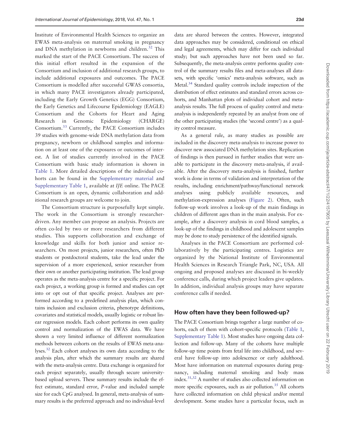Institute of Environmental Health Sciences to organize an EWAS meta-analysis on maternal smoking in pregnancy and DNA methylation in newborns and children.<sup>32</sup> This marked the start of the PACE Consortium. The success of this initial effort resulted in the expansion of the Consortium and inclusion of additional research groups, to include additional exposures and outcomes. The PACE Consortium is modelled after successful GWAS consortia, in which many PACE investigators already participated, including the Early Growth Genetics (EGG) Consortium, the Early Genetics and Lifecourse Epidemiology (EAGLE) Consortium and the Cohorts for Heart and Aging Research in Genomic Epidemiology (CHARGE) Consortium[.33](#page-21-0) Currently, the PACE Consortium includes 39 studies with genome-wide DNA methylation data from pregnancy, newborn or childhood samples and information on at least one of the exposures or outcomes of interest. A list of studies currently involved in the PACE Consortium with basic study information is shown in [Table 1.](#page-6-0) More detailed descriptions of the individual cohorts can be found in the [Supplementary material](https://academic.oup.com/ije/article-lookup/doi/10.1093/ije/dyx190#supplementary-data) and [Supplementary Table 1,](https://academic.oup.com/ije/article-lookup/doi/10.1093/ije/dyx190#supplementary-data) available at IJE online. The PACE Consortium is an open, dynamic collaboration and additional research groups are welcome to join.

The Consortium structure is purposefully kept simple. The work in the Consortium is strongly researcherdriven. Any member can propose an analysis. Projects are often co-led by two or more researchers from different studies. This supports collaboration and exchange of knowledge and skills for both junior and senior researchers. On most projects, junior researchers, often PhD students or postdoctoral students, take the lead under the supervision of a more experienced, senior researcher from their own or another participating institution. The lead group operates as the meta-analysis centre for a specific project. For each project, a working group is formed and studies can opt into or opt out of that specific project. Analyses are performed according to a predefined analysis plan, which contains inclusion and exclusion criteria, phenotype definitions, covariates and statistical models, usually logistic or robust linear regression models. Each cohort performs its own quality control and normalization of the EWAS data. We have shown a very limited influence of different normalization methods between cohorts on the results of EWAS meta-analyses[.32](#page-21-0) Each cohort analyses its own data according to the analysis plan, after which the summary results are shared with the meta-analysis centre. Data exchange is organized for each project separately, usually through secure universitybased upload servers. These summary results include the effect estimate, standard error, P-value and included sample size for each CpG analysed. In general, meta-analysis of summary results is the preferred approach and no individual-level

data are shared between the centres. However, integrated data approaches may be considered, conditional on ethical and legal agreements, which may differ for each individual study; but such approaches have not been used so far. Subsequently, the meta-analysis centre performs quality control of the summary results files and meta-analyses all datasets, with specific 'omics' meta-analysis software, such as Metal.<sup>34</sup> Standard quality controls include inspection of the distribution of effect estimates and standard errors across cohorts, and Manhattan plots of individual cohort and metaanalysis results. The full process of quality control and metaanalysis is independently repeated by an analyst from one of the other participating studies (the 'second centre') as a quality control measure.

As a general rule, as many studies as possible are included in the discovery meta-analysis to increase power to discover new associated DNA methylation sites. Replication of findings is then pursued in further studies that were unable to participate in the discovery meta-analysis, if available. After the discovery meta-analysis is finished, further work is done in terms of validation and interpretation of the results, including enrichment/pathway/functional network analyses using publicly available resources, and methylation-expression analyses [\(Figure 2\)](#page-10-0). Often, such follow-up work involves a look-up of the main findings in children of different ages than in the main analysis. For example, after a discovery analysis in cord blood samples, a look-up of the findings in childhood and adolescent samples may be done to study persistence of the identified signals.

Analyses in the PACE Consortium are performed collaboratively by the participating centres. Logistics are organized by the National Institute of Environmental Health Sciences in Research Triangle Park, NC, USA. All ongoing and proposed analyses are discussed in bi-weekly conference calls, during which project leaders give updates. In addition, individual analysis groups may have separate conference calls if needed.

#### How often have they been followed-up?

The PACE Consortium brings together a large number of cohorts, each of them with cohort-specific protocols ([Table 1,](#page-6-0) [Supplementary Table 1\)](https://academic.oup.com/ije/article-lookup/doi/10.1093/ije/dyx190#supplementary-data). Most studies have ongoing data collection and follow-up. Many of the cohorts have multiple follow-up time points from fetal life into childhood, and several have follow-up into adolescence or early adulthood. Most have information on maternal exposures during pregnancy, including maternal smoking and body mass index.[31,32](#page-21-0) A number of studies also collected information on more specific exposures, such as air pollution.<sup>35</sup> All cohorts have collected information on child physical and/or mental development. Some studies have a particular focus, such as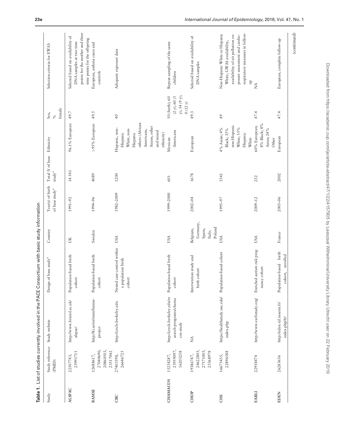<span id="page-6-0"></span>

|                 |                                                 | Table 1. List of studies currently involved in the PACE Consortium with basic study information |                                                            |                                                    |                                                |                                                 |                                                                                                                                    |                                                                            |                                                                                                                                                                            |
|-----------------|-------------------------------------------------|-------------------------------------------------------------------------------------------------|------------------------------------------------------------|----------------------------------------------------|------------------------------------------------|-------------------------------------------------|------------------------------------------------------------------------------------------------------------------------------------|----------------------------------------------------------------------------|----------------------------------------------------------------------------------------------------------------------------------------------------------------------------|
| Study           | Study reference<br>(PMD)                        | Study website                                                                                   | Design of base study <sup>a</sup>                          | Country                                            | Year(s) of birth<br>of base study <sup>a</sup> | Total N of base Ethnicity<br>study <sup>a</sup> |                                                                                                                                    | female<br>Sex,<br>$\%$                                                     | Selection criteria for EWAS                                                                                                                                                |
| <b>ALSPAC</b>   | 25991711<br>22507743,                           | http://www.bristol.ac.uk/<br>alspac/                                                            | Population-based birth<br>cohort                           | UK                                                 | 1991-92                                        | 14541                                           | 96.1% European                                                                                                                     | 49.7                                                                       | points for the mother and three<br>Selected based on availability of<br>time points for the offspring<br>DNA samples at two time                                           |
| <b>BAMSE</b>    | 27040690,<br>20860503,<br>23517042<br>12688617, | http://ki.se/en/imm/bamse-<br>project                                                           | Population-based birth<br>cohort                           | Sweden                                             | 1994-96                                        | 4089                                            | >95% European                                                                                                                      | 49.5                                                                       | European, asthma cases and<br>controls                                                                                                                                     |
| CBC             | 26646725<br>27403598,                           | http://circle.berkeley.edu                                                                      | Nested case-control within<br>a population birth<br>cohort | USA                                                | 1982-2009                                      | 1200                                            | others (African<br>Asians, other<br>Hispanic, non-<br>White, non-<br>Americans,<br>and mixed<br>ethnicity)<br>Hispanic<br>Hispanic | $\frac{40}{5}$                                                             | Adequate exposure data                                                                                                                                                     |
| <b>CHAMACOS</b> | 23959097,<br>16203258<br>15238287,              | http://cerch.berkeley.edu/re<br>search-programs/chama<br>cos-study                              | Population-based birth<br>cohort                           | USA                                                | 1999-2000                                      | 601                                             | Americans<br>Mexican                                                                                                               | y); 54 (9 y);<br>(2 y); 60 (5<br>$50$ (birth); $60$<br>$0~(12~\mathrm{y})$ | Repeat sampling of the same<br>children                                                                                                                                    |
| CHOP            | 27171005,<br>24622805,<br>25368978<br>19386747, | $\tilde{\mathbf{z}}$                                                                            | Intervention study and<br>birth cohort                     | Germany,<br>Poland<br>Belgium,<br>Spain,<br>Italy, | 2002-04                                        | 1678                                            | European                                                                                                                           | 49.3                                                                       | Selected based on availability of<br>DNA samples                                                                                                                           |
| <b>CHS</b>      | 22896588<br>16675435,                           | https://healthstudy.usc.edu/ Population-based cohort<br>index.php                               |                                                            | USA                                                | 1995-97                                        | 5341                                            | non-Hispanic<br>White; 55%<br>4% Asian; 4%<br>Black; 35%<br>Hispanic<br>White                                                      | 49                                                                         | respiratory measures in follow-<br>Non-Hispanic White or Hispanic<br>availability of air pollution ex-<br>posure assessment and cardio-<br>White, GWAS availability,<br>qu |
| EARLI           | 22958474                                        | http://www.earlistudy.org/                                                                      | Enriched autism risk preg-<br>cohort<br>nancy              | USA                                                | $2009 - 12$                                    | 232                                             | 8% Black; 8%<br>60% European;<br>Asian; 24%<br>Other                                                                               | 47.4                                                                       | Ź                                                                                                                                                                          |
| EDEN            | 26283636                                        | http://eden.vjf.inserm.fr/<br>index.php/fr/                                                     | Population-based birth<br>enrolled<br>cohort,              | France                                             | $2003 - 06$                                    | 2002                                            | European                                                                                                                           | 47.4                                                                       | European, complete follow-up                                                                                                                                               |
|                 |                                                 |                                                                                                 |                                                            |                                                    |                                                |                                                 |                                                                                                                                    |                                                                            | (continued)                                                                                                                                                                |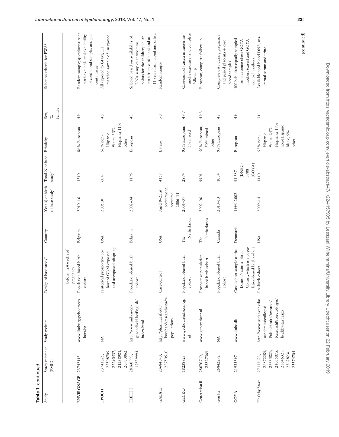| Table 1. continued  |                                                                                        |                                                                                                                           |                                                                                                             |                    |                                                          |                                                    |                                                                                           |                        |                                                                                                                                                                    |
|---------------------|----------------------------------------------------------------------------------------|---------------------------------------------------------------------------------------------------------------------------|-------------------------------------------------------------------------------------------------------------|--------------------|----------------------------------------------------------|----------------------------------------------------|-------------------------------------------------------------------------------------------|------------------------|--------------------------------------------------------------------------------------------------------------------------------------------------------------------|
| Study               | Study reference<br>(PMID)                                                              | Study website                                                                                                             | Design of base study <sup>a</sup>                                                                           | Country            | Year(s) of birth<br>of base ${\rm study}^{\rm a}$        | Total N of base Ethnicity<br>${\rm study}^{\rm a}$ |                                                                                           | female<br>Sex,<br>$\%$ | Selection criteria for EWAS                                                                                                                                        |
| ENVIRONAGE 23742113 |                                                                                        | www.limburgsgeboorteco<br>hort.be                                                                                         | before 24 weeks of<br>Population-based birth<br>pregnancy<br>cohort                                         | Belgium            | $2010 - 16$                                              | 1210                                               | $86\%$ European                                                                           | $^{49}$                | Random sample; questionnaire at<br>birth available and availability<br>of cord blood samples and pla-<br>centa tissue                                              |
| EPOCH               | 22290537,<br>21238981,<br>22508709.<br>20953862<br>23741625,                           | $\tilde{\mathbf{z}}$                                                                                                      | and unexposed offspring<br>Historical prospective co-<br>hort of GDM exposed                                | USA                | 200510                                                   | 604                                                | Hispanic; 11%<br>White; 33%<br>Hispanic<br>56% non-<br>other                              | 46                     | matched sample of unexposed<br>All exposed to GDM; 1:1                                                                                                             |
| FLEHS I             | 19539994<br>28160993,                                                                  | gezondheid.be/English/<br>http://www.milieu-en-<br>index.html                                                             | Population-based birth<br>cohor                                                                             | Belgium            | $2002 - 04$                                              | 1196                                               | European                                                                                  | 48                     | 11 years from blood and saliva<br>Selected based on availability of<br>points for the children; i.e. at<br>birth from cord blood and at<br>DNA samples at two time |
| <b>GALAI</b>        | 23750510<br>23684070,                                                                  | burchard/research/study-<br>http://pharm.ucsf.edu/<br>populations                                                         | Case-control                                                                                                | USA                | recruitment;<br>Aged 8-21 at<br>recruited<br>$2006 - 11$ | 4157                                               | Latino                                                                                    | 50                     | Random sample                                                                                                                                                      |
| <b>GECKO</b>        | 18238823                                                                               | www.geckodrenthe.umcg.<br>$\overline{a}$                                                                                  | Population-based birth<br>cohort                                                                            | Netherlands<br>The | $2006 - 07$                                              | 2874                                               | 95% European;<br>$5\%$ mixed                                                              | 49.7                   | smoke exposure) and complete<br>Case-control (cases: intrauterine<br>follow-up                                                                                     |
| Generation R        | 25527369<br>28070760,                                                                  | www.generationr.nl                                                                                                        | Prospective population-<br>birth cohort<br>based                                                            | Netherlands<br>The | $2002 - 06$                                              | 9901                                               | 50% European;<br>$50\%$ mixed<br>other                                                    | 49.3                   | European, complete follow-up                                                                                                                                       |
| Gen3G               | 26842272                                                                               | ≨                                                                                                                         | Population-based birth<br>cohort                                                                            | Canada             | $2010 - 13$                                              | 1034                                               | 95% European                                                                              | 48                     | Complete data during pregnancy<br>and paired placenta + cord<br>blood samples                                                                                      |
| GOYA                | 21935397                                                                               | www.dnbc.dk                                                                                                               | Cohort, which is a popu-<br>lation-based birth cohort<br>Case-cohort sample of the<br>Danish National Birth | Denmark            | 1996-2002                                                | (GOYA)<br>(DNBC)<br>3908<br>91387                  | European                                                                                  | 49                     | 1000 children equally sampled<br>from extreme obese GOYA<br>mothers (cases) and GOYA<br>control mothers                                                            |
| Healthy Start       | 26055075,<br>25646327,<br>25628236,<br>26872289,<br>26663829,<br>25574704<br>27133623, | ResearchProjects/Pages/<br>http://www.ucdenver.edu/<br>PublicHealth/research/<br>academics/colleges/<br>healthystart.aspx | Pre-birth cohort                                                                                            | USA                | $2009 - 14$                                              | 1410                                               | Hispanic; 17%<br>non-Hispanic<br>White; 24%<br>Black; 6%<br>Hispanic<br>53% non-<br>other | $\overline{51}$        | Available cord blood DNA, ma-<br>ternal serum and urine                                                                                                            |
|                     |                                                                                        |                                                                                                                           |                                                                                                             |                    |                                                          |                                                    |                                                                                           |                        | (continued)                                                                                                                                                        |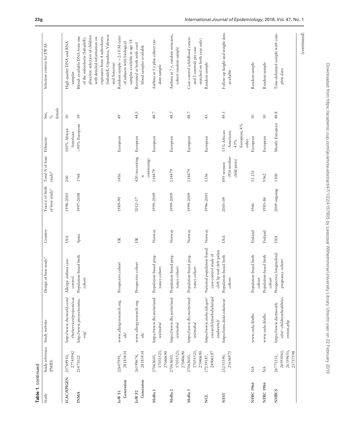| Table 1. continued            |                                                 |                                                                          |                                                                                     |                    |                                                   |                                                    |                                                          |                        |                                                                                                                                                                                                                    |
|-------------------------------|-------------------------------------------------|--------------------------------------------------------------------------|-------------------------------------------------------------------------------------|--------------------|---------------------------------------------------|----------------------------------------------------|----------------------------------------------------------|------------------------|--------------------------------------------------------------------------------------------------------------------------------------------------------------------------------------------------------------------|
| Study                         | Study reference<br>(PMID)                       | Study website                                                            | Design of base study <sup>a</sup>                                                   | Country            | Year(s) of birth<br>of base ${\rm study}^{\rm a}$ | Total N of base Ethnicity<br>${\rm study}^{\rm a}$ |                                                          | female<br>Sex,<br>$\%$ | Selection criteria for EWAS                                                                                                                                                                                        |
| <b>ICAC/EPIGEN</b>            | 27745942<br>25769910,                           | rho/services/projects/icac<br>http://www.rhoworld.com/                   | Allergic asthma case-<br>control                                                    | USA                | 1998-2005                                         | 200                                                | 100% African<br>American                                 | $\sqrt{50}$            | High quality DNA and RNA<br>samples                                                                                                                                                                                |
| <b>INMA</b>                   | 21471022                                        | http://www.proyectoinma.<br>gro                                          | Population-based birth<br>cohort                                                    | Spain              | 1997-2008                                         | 3768                                               | $>\!90\%$ European                                       | 39                     | (Sabadell, Gipuzkoa, Valencia<br>placenta: selection of children<br>Blood: available DNA from one<br>exposures from 4 subcohorts<br>with detailed information on<br>of the subcohorts (Sabadell);<br>and Asturias) |
| Generation<br>$_{\rm{IoW}$ F1 | 28183434<br>22607991,                           | www.allergyresearch.org.<br>$u\nu$                                       | Prospective cohort                                                                  | ŬК                 | 1989-90                                           | 1456                                               | European                                                 | 49                     | Random sample ~2:1 F:M ratio<br>samples available at age 18<br>of subjects with biological                                                                                                                         |
| Generation<br>10WF2           | 28183434<br>26199674,                           | www.allergyresearch.org.<br>uk∕                                          | Prospective cohort                                                                  | JK                 | $2012 - 17$                                       | 420 (recruiting<br>continuing)<br>$\frac{1}{5}$    | European                                                 | 44,3                   | Recruited at birth with cord<br>blood samples available                                                                                                                                                            |
| MoBa <sub>1</sub>             | 17031521,<br>27040690<br>27063603,              | https://www.fhi.no/en/stud<br>ies/moba/                                  | Population-based preg-<br>nancy cohort                                              | Norway             | 1999-2009                                         | 114479                                             | European                                                 | 48.7                   | Asthma at 3 y plus cohort ran-<br>dom sample                                                                                                                                                                       |
| MoBa <sub>2</sub>             | 17031521,<br>27040690<br>27063603,              | https://www.fhi.no/en/stud<br>ies/moba/                                  | Population-based preg-<br>nancy cohort                                              | Norway             | 1999-2009                                         | 114479                                             | European                                                 | 48.7                   | Asthma at 7 y, random noncases,<br>cohort random sample                                                                                                                                                            |
| MoBa 3                        | 17031521,<br>27040690<br>27063603,              | https://www.fhi.no/en/stud<br>ies/moba/                                  | Population-based preg-<br>nancy cohort                                              | Norway             | 1999-2009                                         | 114479                                             | European                                                 | 48.7                   | Case-control (childhood cancer<br>matched on birth year only)<br>and 2 controls per case                                                                                                                           |
| 디<br>지                        | 24906187<br>17259187,                           | research/atniehs/labs/epi/<br>https://www.niehs.nih.gov/<br>studies/ncl/ | population-based<br>cleft lip and cleft palate<br>case-control study of<br>National | Norway             | 1996-2001                                         | 1336                                               | European                                                 | 43                     | Random sample                                                                                                                                                                                                      |
| <b>NEST</b>                   | 21636975<br>21255390,                           | https://sites.duke.edu/nest/                                             | Population-based birth<br>cohort                                                    | <b>USA</b>         | $2005 - 09$                                       | (936 mother-<br>child pairs)<br>895 women          | European; 4%<br>53% African<br>American;<br>other<br>43% | 49.5                   | Follow-up height and weight data<br>available                                                                                                                                                                      |
| NFBC 1966<br><b>NFBC 1986</b> | $\stackrel{\triangle}{\scriptstyle\sim}$<br>Ź   | www.oulu.fi/nfbc<br>www.oulu.fi/nfbc                                     | Population-based birth<br>Population-based birth<br>cohort                          | Finland<br>Finland | 1985-86<br>1966                                   | 12 231<br>9362                                     | European<br>European                                     | $50\,$<br>50           | Random sample<br>Random sample                                                                                                                                                                                     |
| <b>NHBCS</b>                  | 26955061,<br>26359651,<br>23757598<br>26771251, | edu/~childrenshealth/sci<br>https://www.dartmouth.<br>entists.php        | Prospective longitudinal<br>pregnancy cohort<br>cohort                              | USA                | 2009 ongoing                                      | 1500                                               | Mostly European                                          | 48.8                   | Time-delimited sample with com-<br>plete data                                                                                                                                                                      |
|                               |                                                 |                                                                          |                                                                                     |                    |                                                   |                                                    |                                                          |                        | (continued)                                                                                                                                                                                                        |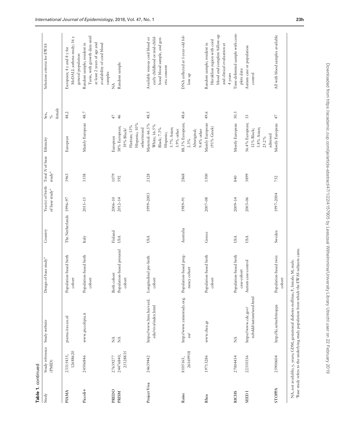| Table 1. continued           |                                   |                                                                                                                                                                                              |                                                     |                         |                                                 |                                          |                                                                                             |                        |                                                                                                                                     |
|------------------------------|-----------------------------------|----------------------------------------------------------------------------------------------------------------------------------------------------------------------------------------------|-----------------------------------------------------|-------------------------|-------------------------------------------------|------------------------------------------|---------------------------------------------------------------------------------------------|------------------------|-------------------------------------------------------------------------------------------------------------------------------------|
| Study                        | Study reference<br>(PMID)         | Study website                                                                                                                                                                                | Design of base study <sup>a</sup>                   | Country                 | Year(s) of birth<br>of base study $\mathrm{^a}$ | Total N of base<br>${\rm study}^{\rm a}$ | Ethnicity                                                                                   | female<br>Sex,<br>$\%$ | Selection criteria for EWAS                                                                                                         |
| <b>PIAMA</b>                 | 12688620<br>23315435,             | piama.iras.uu.nl                                                                                                                                                                             | Population-based birth<br>cohort                    | The Netherlands 1996-97 |                                                 | 3963                                     | European                                                                                    | 48.2                   | MeDALL asthma study; 16 y<br>European; 4 y and 8 y for<br>general population                                                        |
| Piccoli+                     | 24506846                          | www.piccolipiu.it                                                                                                                                                                            | Population-based birth<br>cohort                    | Italy                   | $2011 - 15$                                     | 3338                                     | Mainly European                                                                             | 48.7                   | Turin, with growth data until<br>at least 2 years of age and<br>Random sample; resident in<br>availability of cord blood<br>samples |
| <b>PREDO</b><br><b>PRISM</b> | 25328835<br>24476840,<br>27639277 | Ź<br>$\lesssim$                                                                                                                                                                              | Population-based prenatal<br>Birth cohort<br>cohort | Finland<br>USA          | $2006 - 10$<br>$2012 - 14$                      | 1079<br>592                              | Hispanic; 10%<br>Haitian; 13%<br>38% European;<br>other/mixed<br>39% Black/<br>European     | 46<br>47               | Random sample<br>Ź                                                                                                                  |
| Project Viva                 | 24639442                          | https://www.hms.harvard.<br>edu/viva/index.html                                                                                                                                              | Longitudinal pre-birth<br>cohort                    | USA                     | 1999-2003                                       | 2128                                     | Maternal: 66.5%<br>White; 16.5%<br>5.7% Asian;<br>Black; 7.3%<br>$3.9\%$ other<br>Hispanic; | 48.5                   | early childhood or mid-child-<br>hood blood sample, and gen-<br>Available venous cord blood or<br>etic consent                      |
| Raine                        | 26169918<br>8105165,              | http://www.rainestudy.org.<br>au                                                                                                                                                             | Population-based preg-<br>cohort<br>nancy           | Australia               | 1989-91                                         | 2868                                     | $88.3\%$ European;<br>$9.4\%$ other<br>Aboriginal;<br>2.3%                                  | 48.6                   | DNA collected at 1-year-old fol-<br>$\rm{low}$ wp                                                                                   |
| Rhea                         | 19713286                          | www.rhea.gr                                                                                                                                                                                  | Population-based birth<br>cohort                    | Greece                  | $2007 - 08$                                     | 1500                                     | Mainly European<br>$(91\%$ Greek)                                                           | 49.6                   | blood and complete follow-up<br>Heraklion region with cord<br>and clinical evaluation at<br>Random sample; resident in<br>4 years   |
| <b>RICHS</b>                 | 27004434                          | ≸                                                                                                                                                                                            | Population-based birth<br>case-cohort               | USA                     | $2009 - 14$                                     | 840                                      | Mostly European                                                                             | 50.3                   | Time-delimited sample with com-<br>plete data                                                                                       |
| <b>SEED1</b>                 | 22350336                          | ncbddd/autism/seed.html<br>https://www.cdc.gov/                                                                                                                                              | Autism case-control                                 | USA                     | $2003 - 06$                                     | 3899                                     | 56.4% European;<br>3.8% Asian;<br>12% Black;<br>admixed<br>$25.2\%$                         | 33                     | Autism case or population<br>control                                                                                                |
| <b>STOPPA</b>                | 25900604                          | http://ki.se/meb/stoppa                                                                                                                                                                      | Population-based twin<br>cohort                     | Sweden                  | 1997-2004                                       | 752                                      | Mostly European                                                                             | 47                     | All with blood samples available                                                                                                    |
|                              |                                   | <sup>a</sup> Base study refers to the underlying study population from which the EWAS subjects came.<br>NA, not available; y, years; GDM, gestational diabetes mellitus; F, female; M, male. |                                                     |                         |                                                 |                                          |                                                                                             |                        |                                                                                                                                     |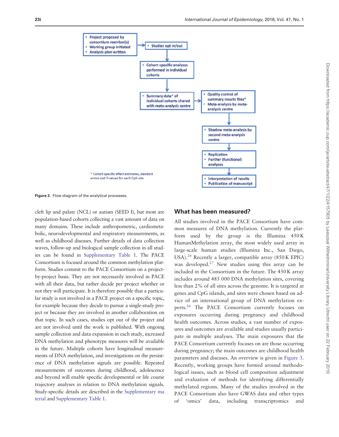<span id="page-10-0"></span>

Figure 2. Flow diagram of the analytical processes.

cleft lip and palate (NCL) or autism (SEED I), but most are population-based cohorts collecting a vast amount of data on many domains. These include anthropometric, cardiometabolic, neurodevelopmental and respiratory measurements, as well as childhood diseases. Further details of data collection waves, follow-up and biological sample collection in all studies can be found in [Supplementary Table 1.](https://academic.oup.com/ije/article-lookup/doi/10.1093/ije/dyx190#supplementary-data) The PACE Consortium is focused around the common methylation platform. Studies commit to the PACE Consortium on a projectby-project basis. They are not necessarily involved in PACE with all their data, but rather decide per project whether or not they will participate. It is therefore possible that a particular study is not involved in a PACE project on a specific topic, for example because they decide to pursue a single-study project or because they are involved in another collaboration on that topic. In such cases, studies opt out of the project and are not involved until the work is published. With ongoing sample collection and data expansion in each study, increased DNA methylation and phenotype measures will be available in the future. Multiple cohorts have longitudinal measurements of DNA methylation, and investigations on the persistence of DNA methylation signals are possible. Repeated measurements of outcomes during childhood, adolescence and beyond will enable specific developmental or life course trajectory analyses in relation to DNA methylation signals. Study-specific details are described in the [Supplementary ma](https://academic.oup.com/ije/article-lookup/doi/10.1093/ije/dyx190#supplementary-data) [terial](https://academic.oup.com/ije/article-lookup/doi/10.1093/ije/dyx190#supplementary-data) and [Supplementary Table 1.](https://academic.oup.com/ije/article-lookup/doi/10.1093/ije/dyx190#supplementary-data)

### What has been measured?

All studies involved in the PACE Consortium have common measures of DNA methylation. Currently the platform used by the group is the Illumina 450 K HumanMethylation array, the most widely used array in large-scale human studies (Illumina Inc., San Diego, USA).<sup>[26](#page-20-0)</sup> Recently a larger, compatible array (850 K EPIC) was developed.<sup>[27](#page-20-0)</sup> New studies using this array can be included in the Consortium in the future. The 450 K array includes around 485 000 DNA methylation sites, covering less than 2% of all sites across the genome. It is targeted at genes and CpG islands, and sites were chosen based on advice of an international group of DNA methylation experts.[26](#page-20-0) The PACE Consortium currently focuses on exposures occurring during pregnancy and childhood health outcomes. Across studies, a vast number of exposures and outcomes are available and studies usually participate in multiple analyses. The main exposures that the PACE Consortium currently focuses on are those occurring during pregnancy; the main outcomes are childhood health parameters and diseases. An overview is given in [Figure 3.](#page-11-0) Recently, working groups have formed around methodological issues, such as blood cell composition adjustment and evaluation of methods for identifying differentially methylated regions. Many of the studies involved in the PACE Consortium also have GWAS data and other types of 'omics' data, including transcriptomics and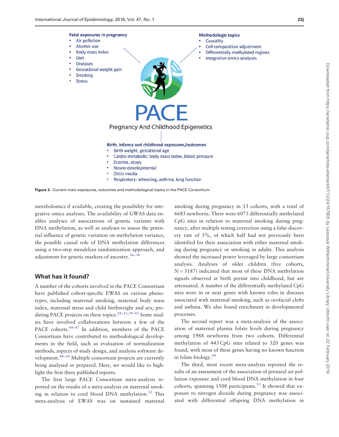<span id="page-11-0"></span>

Figure 3. Current main exposures, outcomes and methodological topics in the PACE Consortium.

metabolomics if available, creating the possibility for integrative omics analyses. The availability of GWAS data enables analyses of associations of genetic variants with DNA methylation, as well as analyses to assess the potential influence of genetic variation on methylation variance, the possible causal role of DNA methylation differences using a two-step mendelian randomization approach, and adjustment for genetic markers of ancestry.[36–38](#page-21-0)

#### What has it found?

A number of the cohorts involved in the PACE Consortium have published cohort-specific EWAS on various phenotypes, including maternal smoking, maternal body mass index, maternal stress and child birthweight and sex, pre-dating PACE projects on these topics.<sup>[28](#page-20-0)–[31,39–43](#page-21-0)</sup> Some studies have involved collaborations between a few of the PACE cohorts.<sup>[44–47](#page-21-0)</sup> In addition, members of the PACE Consortium have contributed to methodological developments in the field, such as evaluation of normalization methods, aspects of study design, and analysis software development[.48–54](#page-21-0) Multiple consortium projects are currently being analysed or prepared. Here, we would like to highlight the first three published reports.

The first large PACE Consortium meta-analysis reported on the results of a meta-analysis on maternal smoking in relation to cord blood DNA methylation.<sup>32</sup> This meta-analysis of EWAS was on sustained maternal

smoking during pregnancy in 13 cohorts, with a total of 6685 newborns. There were 6073 differentially methylated CpG sites in relation to maternal smoking during pregnancy, after multiple testing correction using a false discovery rate of 5%, of which half had not previously been identified for their association with either maternal smoking during pregnancy or smoking in adults. This analysis showed the increased power leveraged by large consortium analysis. Analyses of older children (five cohorts,  $N = 3187$ ) indicated that most of these DNA methylation signals observed at birth persist into childhood, but are attenuated. A number of the differentially methylated CpG sites were in or near genes with known roles in diseases associated with maternal smoking, such as orofacial clefts and asthma. We also found enrichment in developmental processes.

The second report was a meta-analysis of the association of maternal plasma folate levels during pregnancy among 1988 newborns from two cohorts. Differential methylation of 443 CpG sites related to 320 genes was found, with most of these genes having no known function in folate biology.[44](#page-21-0)

The third, most recent meta-analysis reported the results of an assessment of the association of prenatal air pollution exposure and cord blood DNA methylation in four cohorts, spanning 1508 participants.<sup>55</sup> It showed that exposure to nitrogen dioxide during pregnancy was associated with differential offspring DNA methylation in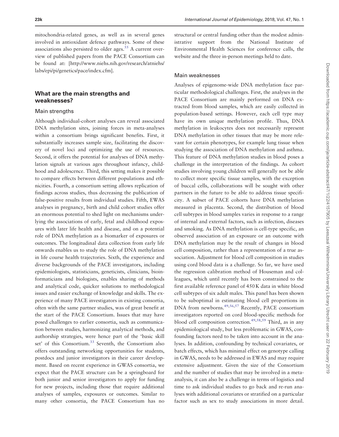mitochondria-related genes, as well as in several genes involved in antioxidant defence pathways. Some of these associations also persisted to older ages.<sup>[55](#page-21-0)</sup> A current overview of published papers from the PACE Consortium can be found at: [\[http://www.niehs.nih.gov/research/atniehs/](http://www.niehs.nih.gov/research/atniehs/labs/epi/pi/genetics/pace/index.cfm) [labs/epi/pi/genetics/pace/index.cfm](http://www.niehs.nih.gov/research/atniehs/labs/epi/pi/genetics/pace/index.cfm)].

### What are the main strengths and weaknesses?

#### Main strengths

Although individual-cohort analyses can reveal associated DNA methylation sites, joining forces in meta-analyses within a consortium brings significant benefits. First, it substantially increases sample size, facilitating the discovery of novel loci and optimizing the use of resources. Second, it offers the potential for analyses of DNA methylation signals at various ages throughout infancy, childhood and adolescence. Third, this setting makes it possible to compare effects between different populations and ethnicities. Fourth, a consortium setting allows replication of findings across studies, thus decreasing the publication of false-positive results from individual studies. Fifth, EWAS analyses in pregnancy, birth and child cohort studies offer an enormous potential to shed light on mechanisms underlying the associations of early, fetal and childhood exposures with later life health and disease, and on a potential role of DNA methylation as a biomarker of exposures or outcomes. The longitudinal data collection from early life onwards enables us to study the role of DNA methylation in life course health trajectories. Sixth, the experience and diverse backgrounds of the PACE investigators, including epidemiologists, statisticians, geneticists, clinicians, bioinformaticians and biologists, enables sharing of methods and analytical code, quicker solutions to methodological issues and easier exchange of knowledge and skills. The experience of many PACE investigators in existing consortia, often with the same partner studies, was of great benefit at the start of the PACE Consortium. Issues that may have posed challenges to earlier consortia, such as communication between studies, harmonizing analytical methods, and authorship strategies, were hence part of the 'basic skill set' of this Consortium.<sup>[33](#page-21-0)</sup> Seventh, the Consortium also offers outstanding networking opportunities for students, postdocs and junior investigators in their career development. Based on recent experience in GWAS consortia, we expect that the PACE structure can be a springboard for both junior and senior investigators to apply for funding for new projects, including those that require additional analyses of samples, exposures or outcomes. Similar to many other consortia, the PACE Consortium has no

structural or central funding other than the modest administrative support from the National Institute of Environmental Health Sciences for conference calls, the website and the three in-person meetings held to date.

#### Main weaknesses

Analyses of epigenome-wide DNA methylation face particular methodological challenges. First, the analyses in the PACE Consortium are mainly performed on DNA extracted from blood samples, which are easily collected in population-based settings. However, each cell type may have its own unique methylation profile. Thus, DNA methylation in leukocytes does not necessarily represent DNA methylation in other tissues that may be more relevant for certain phenotypes, for example lung tissue when studying the association of DNA methylation and asthma. This feature of DNA methylation studies in blood poses a challenge in the interpretation of the findings. As cohort studies involving young children will generally not be able to collect more specific tissue samples, with the exception of buccal cells, collaborations will be sought with other partners in the future to be able to address tissue specificity. A subset of PACE cohorts have DNA methylation measured in placenta. Second, the distribution of blood cell subtypes in blood samples varies in response to a range of internal and external factors, such as infection, diseases and smoking. As DNA methylation is cell-type specific, an observed association of an exposure or an outcome with DNA methylation may be the result of changes in blood cell composition, rather than a representation of a true association. Adjustment for blood cell composition in studies using cord blood data is a challenge. So far, we have used the regression calibration method of Houseman and colleagues, which until recently has been constrained to the first available reference panel of 450 K data in white blood cell subtypes of six adult males. This panel has been shown to be suboptimal in estimating blood cell proportions in DNA from newborns.<sup>49,56,57</sup> Recently, PACE consortium investigators reported on cord blood-specific methods for blood cell composition correction.[49,58,59](#page-21-0) Third, as in any epidemiological study, but less problematic in GWAS, confounding factors need to be taken into account in the analyses. In addition, confounding by technical covariates, or batch effects, which has minimal effect on genotype calling in GWAS, needs to be addressed in EWAS and may require extensive adjustment. Given the size of the Consortium and the number of studies that may be involved in a metaanalysis, it can also be a challenge in terms of logistics and time to ask individual studies to go back and re-run analyses with additional covariates or stratified on a particular factor such as sex to study associations in more detail.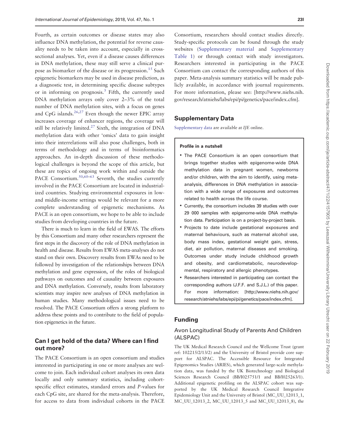Fourth, as certain outcomes or disease states may also influence DNA methylation, the potential for reverse causality needs to be taken into account, especially in crosssectional analyses. Yet, even if a disease causes differences in DNA methylation, these may still serve a clinical pur-pose as biomarker of the disease or its progression.<sup>[15](#page-20-0)</sup> Such epigenetic biomarkers may be used in disease prediction, as a diagnostic test, in determining specific disease subtypes or in informing on prognosis.<sup>[3](#page-20-0)</sup> Fifth, the currently used DNA methylation arrays only cover 2–3% of the total number of DNA methylation sites, with a focus on genes and  $CpG$  islands.<sup>[26,27](#page-20-0)</sup> Even though the newer EPIC array increases coverage of enhancer regions, the coverage will still be relatively limited. $27$  Sixth, the integration of DNA methylation data with other 'omics' data to gain insight into their interrelations will also pose challenges, both in terms of methodology and in terms of bioinformatics approaches. An in-depth discussion of these methodological challenges is beyond the scope of this article, but these are topics of ongoing work within and outside the PACE Consortium.<sup>[50,60](#page-21-0)–[63](#page-22-0)</sup> Seventh, the studies currently involved in the PACE Consortium are located in industrialized countries. Studying environmental exposures in lowand middle-income settings would be relevant for a more complete understanding of epigenetic mechanisms. As PACE is an open consortium, we hope to be able to include studies from developing countries in the future.

There is much to learn in the field of EWAS. The efforts by this Consortium and many other researchers represent the first steps in the discovery of the role of DNA methylation in health and disease. Results from EWAS meta-analyses do not stand on their own. Discovery results from EWAs need to be followed by investigation of the relationships between DNA methylation and gene expression, of the roles of biological pathways on outcomes and of causality between exposures and DNA methylation. Conversely, results from laboratory scientists may inspire new analyses of DNA methylation in human studies. Many methodological issues need to be resolved. The PACE Consortium offers a strong platform to address these points and to contribute to the field of population epigenetics in the future.

### Can I get hold of the data? Where can I find out more?

The PACE Consortium is an open consortium and studies interested in participating in one or more analyses are welcome to join. Each individual cohort analyses its own data locally and only summary statistics, including cohortspecific effect estimates, standard errors and P-values for each CpG site, are shared for the meta-analysis. Therefore, for access to data from individual cohorts in the PACE

Consortium, researchers should contact studies directly. Study-specific protocols can be found through the study websites [\(Supplementary material](https://academic.oup.com/ije/article-lookup/doi/10.1093/ije/dyx190#supplementary-data) and [Supplementary](https://academic.oup.com/ije/article-lookup/doi/10.1093/ije/dyx190#supplementary-data) [Table 1\)](https://academic.oup.com/ije/article-lookup/doi/10.1093/ije/dyx190#supplementary-data) or through contact with study investigators. Researchers interested in participating in the PACE Consortium can contact the corresponding authors of this paper. Meta-analysis summary statistics will be made publicly available, in accordance with journal requirements. For more information, please see: [\[http://www.niehs.nih.](http://www.niehs.nih.gov/research/atniehs/labs/epi/pi/genetics/pace/index.cfm) [gov/research/atniehs/labs/epi/pi/genetics/pace/index.cfm\]](http://www.niehs.nih.gov/research/atniehs/labs/epi/pi/genetics/pace/index.cfm).

#### Supplementary Data

[Supplementary data](https://academic.oup.com/ije/article-lookup/doi/10.1093/ije/dyx190#supplementary-data) are available at IJE online.

#### Profile in a nutshell

- The PACE Consortium is an open consortium that brings together studies with epigenome-wide DNA methylation data in pregnant women, newborns and/or children, with the aim to identify, using metaanalysis, differences in DNA methylation in association with a wide range of exposures and outcomes related to health across the life course.
- Currently, the consortium includes 39 studies with over 29 000 samples with epigenome-wide DNA methylation data. Participation is on a project-by-project basis.
- Projects to date include gestational exposures and maternal behaviours, such as maternal alcohol use, body mass index, gestational weight gain, stress, diet, air pollution, maternal diseases and smoking. Outcomes under study include childhood growth and obesity, and cardiometabolic, neurodevelopmental, respiratory and allergic phenotypes.
- Researchers interested in participating can contact the corresponding authors (J.F.F. and S.J.L.) of this paper. For more information: [\[http://www.niehs.nih.gov/](http://www.niehs.nih.gov/research/atniehs/labs/epi/pi/genetics/pace/index.cfm) [research/atniehs/labs/epi/pi/genetics/pace/index.cfm](http://www.niehs.nih.gov/research/atniehs/labs/epi/pi/genetics/pace/index.cfm)].

### Funding

### Avon Longitudinal Study of Parents And Children (ALSPAC)

The UK Medical Research Council and the Wellcome Trust (grant ref: 102215/2/13/2) and the University of Bristol provide core support for ALSPAC. The Accessible Resource for Integrated Epigenomics Studies (ARIES), which generated large-scale methylation data, was funded by the UK Biotechnology and Biological Sciences Research Council (BB/I025751/1 and BB/I025263/1). Additional epigenetic profiling on the ALSPAC cohort was supported by the UK Medical Research Council Integrative Epidemiology Unit and the University of Bristol (MC\_UU\_12013\_1, MC\_UU\_12013\_2, MC\_UU\_12013\_5 and MC\_UU\_12013\_8), the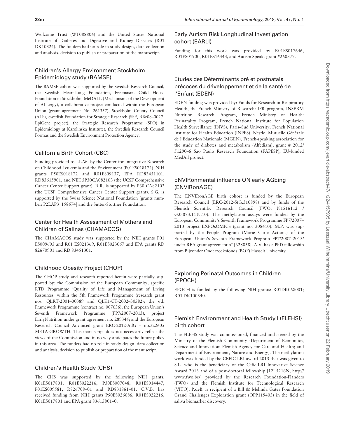Wellcome Trust (WT088806) and the United States National Institute of Diabetes and Digestive and Kidney Diseases (R01 DK10324). The funders had no role in study design, data collection and analysis, decision to publish or preparation of the manuscript.

### Children's Allergy Environment Stockholm Epidemiology study (BAMSE)

The BAMSE cohort was supported by the Swedish Research Council, the Swedish Heart-Lung Foundation, Freemason Child House Foundation in Stockholm, MeDALL (Mechanisms of the Development of ALLergy), a collaborative project conducted within the European Union (grant agreement No. 261357), Stockholm County Council (ALF), Swedish Foundation for Strategic Research (SSF, RBc08–0027, EpiGene project), the Strategic Research Programme (SFO) in Epidemiology at Karolinska Institutet, the Swedish Research Council Formas and the Swedish Environment Protection Agency.

#### California Birth Cohort (CBC)

Funding provided to J.L.W. by the Center for Integrative Research on Childhood Leukemia and the Environment (P01ES018172), NIH grants P50ES018172 and R01ES09137, EPA RD83451101, RD83615901, and NIH 5P30CA082103 (the UCSF Comprehensive Cancer Center Support grant). R.R. is supported by P30 CA82103 (the UCSF Comprehensive Cancer Center Support grant). S.G. is supported by the Swiss Science National Foundation [grants number: P2LAP3\_158674] and the Sutter-Stöttner Foundation.

### Center for Health Assessment of Mothers and Children of Salinas (CHAMACOS)

The CHAMACOS study was supported by the NIH grants P01 ES009605 and R01 ES021369, R01ES023067 and EPA grants RD 82670901 and RD 83451301.

### Childhood Obesity Project (CHOP)

The CHOP study and research reported herein were partially supported by: the Commission of the European Community, specific RTD Programme 'Quality of Life and Management of Living Resources' within the 5th Framework Programme (research grant nos. QLRT-2001–00389 and QLK1-CT-2002–30582); the 6th Framework Programme (contract no. 007036); the European Union's Seventh Framework Programme (FP7/2007–2013), project EarlyNutrition under grant agreement no. 289346; and the European Research Council Advanced grant ERC-2012-AdG – no.322605 META-GROWTH. This manuscript does not necessarily reflect the views of the Commission and in no way anticipates the future policy in this area. The funders had no role in study design, data collection and analysis, decision to publish or preparation of the manuscript.

#### Children's Health Study (CHS)

The CHS was supported by the following NIH grants: K01ES017801, R01ES022216, P30ES007048, R01ES014447, P01ES009581, R826708–01 and RD831861–01. C.V.B. has received funding from NIH grants P50ES026086, R01ES022216, K01ES017801 and EPA grant 83615801–0.

### Early Autism Risk Longitudinal Investigation cohort (EARLI)

Funding for this work was provided by R01ES017646, R01ES01900, R01ES16443, and Autism Speaks grant #260377.

### Etudes des Déterminants pré et postnatals précoces du développement et de la santé de l'Enfant (EDEN)

EDEN funding was provided by: Funds for Research in Respiratory Health, the French Ministry of Research: IFR program, INSERM Nutrition Research Program, French Ministry of Health: Perinatality Program, French National Institute for Population Health Surveillance (INVS), Paris–Sud University, French National Institute for Health Education (INPES), Nestlé, Mutuelle Générale de l'Education Nationale (MGEN), French-speaking association for the study of diabetes and metabolism (Alfediam), grant # 2012/ 51290–6 Sao Paulo Research Foundation (FAPESP), EU-funded MedAll project.

### ENVIRonmental influence ON early AGEing (ENVIRonAGE)

The ENVIRonAGE birth cohort is funded by the European Research Council (ERC-2012-StG.310898) and by funds of the Flemish Scientific Research Council (FWO, N1516112 / G.0.873.11 N.10). The methylation assays were funded by the European Community's Seventh Framework Programme FP7/2007– 2013 project EXPOsOMICS (grant no. 308610). M.P. was supported by the People Program (Marie Curie Actions) of the European Union's Seventh Framework Program FP7/2007–2013/ under REA grant agreement n° [628858]. A.V. has a PhD fellowship from Bijzonder Onderzoeksfonds (BOF) Hasselt University.

### Exploring Perinatal Outcomes in Children (EPOCH)

EPOCH is funded by the following NIH grants: R01DK068001; R01 DK100340.

### Flemish Environment and Health Study I (FLEHSI) birth cohort

The FLEHS study was commissioned, financed and steered by the Ministry of the Flemish Community (Department of Economics, Science and Innovation; Flemish Agency for Care and Health; and Department of Environment, Nature and Energy). The methylation work was funded by the CEFIC LRI award 2013 that was given to S.L. who is the beneficiary of the Cefic-LRI Innovative Science Award 2013 and of a post-doctoral fellowship [12L5216N; [http://](http://www.fwo.be/) [www.fwo.be/\]](http://www.fwo.be/) provided by the Research Foundation-Flanders (FWO) and the Flemish Institute for Technological Research (VITO). P.deB. is recipient of a Bill & Melinda Gates Foundation Grand Challenges Exploration grant (OPP119403) in the field of saliva biomarker discovery.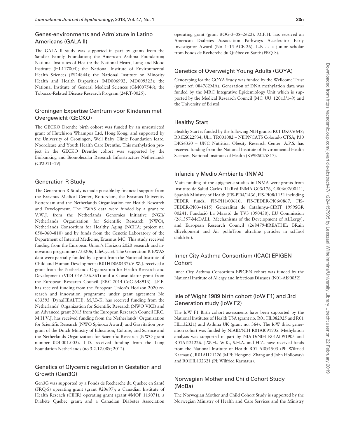### Genes-environments and Admixture in Latino Americans (GALA II)

The GALA II study was supported in part by grants from the Sandler Family Foundation; the American Asthma Foundation; National Institutes of Health: the National Heart, Lung and Blood Institute (HL117004); the National Institute of Environmental Health Sciences (ES24844); the National Institute on Minority Health and Health Disparities (MD006902, MD009523); the National Institute of General Medical Sciences (GM007546); the Tobacco-Related Disease Research Program (24RT-0025).

### Groningen Expertise Centrum voor Kinderen met Overgewicht (GECKO)

The GECKO Drenthe birth cohort was funded by an unrestricted grant of Hutchison Whampoa Ltd, Hong Kong, and supported by the University of Groningen, Well Baby Clinic Foundation Icare, Noordlease and Youth Health Care Drenthe. This methylation project in the GECKO Drenthe cohort was supported by the Biobanking and Biomolecular Research Infrastructure Netherlands (CP2011–19).

#### Generation R Study

The Generation R Study is made possible by financial support from the Erasmus Medical Center, Rotterdam, the Erasmus University Rotterdam and the Netherlands Organization for Health Research and Development. The EWAS data were funded by a grant to V.W.J. from the Netherlands Genomics Initiative (NGI)/ Netherlands Organization for Scientific Research (NWO), Netherlands Consortium for Healthy Aging (NCHA; project nr. 050–060–810) and by funds from the Genetic Laboratory of the Department of Internal Medicine, Erasmus MC. This study received funding from the European Union's Horizon 2020 research and innovation programme (733206, LifeCycle). The Generation R EWAS data were partially funded by a grant from the National Institute of Child and Human Development (R01HD068437).V.W.J. received a grant from the Netherlands Organization for Health Research and Development (VIDI 016.136.361) and a Consolidator grant from the European Research Council (ERC-2014-CoG-648916). J.F.F. has received funding from the European Union's Horizon 2020 research and innovation programme under grant agreement No 633595 (DynaHEALTH). M.J.B-K. has received funding from the Netherlands' Organization for Scientific Research (NWO VICI) and an Advanced grant 2015 from the European Research Council ERC. M.H.V.J. has received funding from the Netherlands' Organization for Scientific Research (NWO Spinoza Award) and Gravitation program of the Dutch Ministry of Education, Culture, and Science and the Netherlands Organization for Scientific Research (NWO grant number 024.001.003). L.D. received funding from the Lung Foundation Netherlands (no 3.2.12.089; 2012).

### Genetics of Glycemic regulation in Gestation and Growth (Gen3G)

Gen3G was supported by a Fonds de Recherche du Québec en Santé (FRQ-S) operating grant (grant #20697); a Canadian Institute of Health Reseach (CIHR) operating grant (grant #MOP 115071); a Diabète Québec grant; and a Canadian Diabetes Association

operating grant (grant #OG-3–08–2622). M.F.H. has received an American Diabetes Association Pathways Accelerator Early Investigator Award (No 1–15-ACE-26). L.B .is a junior scholar from Fonds de Recherche du Québec en Santé (FRQ-S).

#### Genetics of Overweight Young Adults (GOYA)

Genotyping for the GOYA Study was funded by the Wellcome Trust (grant ref: 084762MA). Generation of DNA methylation data was funded by the MRC Integrative Epidemiology Unit which is supported by the Medical Research Council (MC\_UU\_12013/1–9) and the University of Bristol.

#### Healthy Start

Healthy Start is funded by the following NIH grants: R01 DK076648; R01ES022934; UL1 TR001082 – NIH/NCATS Colorado CTSA; P30 DK56350 – UNC Nutrition Obesity Research Center. A.P.S. has received funding from the National Institute of Environmental Health Sciences, National Institutes of Health (K99ES025817).

#### Infancia y Medio Ambiente (INMA)

Main funding of the epigenetic studies in INMA were grants from Instituto de Salud Carlos III (Red INMA G03/176, CB06/02/0041), Spanish Ministry of Health (FIS-PI04/1436, FIS-PI08/1151 including FEDER funds, FIS-PI11/00610, FIS-FEDER-PI06/0867, FIS-FEDER-PI03–1615) Generalitat de Catalunya-CIRIT 1999SGR 00241, Fundació La Marató de TV3 (090430), EU Commission (261357-MeDALL: Mechanisms of the Development of ALLergy), and European Research Council (268479-BREATHE: BRain dEvelopment and Air polluTion ultrafine particles in scHool childrEn).

### Inner City Asthma Consortium (ICAC) EPIGEN Cohort

Inner City Asthma Consortium EPIGEN cohort was funded by the National Institute of Allergy and Infectious Diseases (N01-AI90052).

### Isle of Wight 1989 birth cohort (IoW F1) and 3rd Generation study (IoW F2)

The IoW F1 Birth cohort assessments have been supported by the National Institutes of Health USA (grant no. R01 HL082925 and R01 HL132321) and Asthma UK (grant no. 364). The IoW third generation cohort was funded by NIAID/NIH R01AI091905. Methylation analysis was supported in part by NIAID/NIH R01AI091905 and R01AI121226. J.W.H., W.K., S.H.A. and H.Z. have received funds from the National Institute of Health R01 AI091905 (PI: Wilfried Karmaus), R01AI121226 (MPI: Hongmei Zhang and John Holloway) and R01HL132321 (PI: Wilfried Karmaus).

### Norwegian Mother and Child Cohort Study (MoBa)

The Norwegian Mother and Child Cohort Study is supported by the Norwegian Ministry of Health and Care Services and the Ministry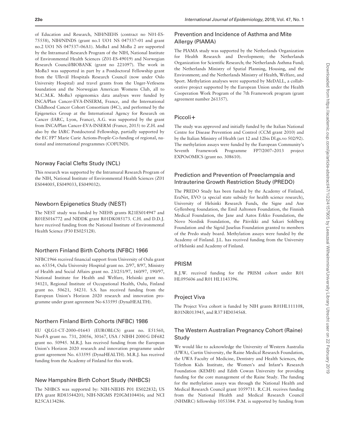of Education and Research, NIH/NIEHS (contract no N01-ES-75558), NIH/NINDS (grant no.1 UO1 NS 047537–01 and grant no.2 UO1 NS 047537–06A1). MoBa1 and MoBa 2 are supported by the Intramural Research Program of the NIH, National Institute of Environmental Health Sciences (Z01-ES-49019) and Norwegian Research Council/BIOBANK (grant no 221097). The work in MoBa3 was supported in part by a Postdoctoral Fellowship grant from the Ullevål Hospitals Research Council (now under Oslo University Hospital) and travel grants from the Unger-Vetlesens foundation and the Norwegian American Womens Club, all to M.C.M.K. MoBa3 epigenomics data analyses were funded by INCA/Plan Cancer-EVA-INSERM, France, and the International Childhood Cancer Cohort Consortium (I4C), and performed by the Epigenetics Group at the International Agency for Research on Cancer (IARC, Lyon, France), A.G. was supported by the grant from INCA/Plan Cancer-EVA-INSERM (France, 2015) to Z.H. and also by the IARC Postdoctoral Fellowship, partially supported by the EC FP7 Marie Curie Actions-People-Co-funding of regional, national and international programmes (COFUND).

### Norway Facial Clefts Study (NCL)

This research was supported by the Intramural Research Program of the NIH, National Institute of Environmental Health Sciences (Z01 ES044005, ES049033, ES049032).

#### Newborn Epigenetics Study (NEST)

The NEST study was funded by NIEHS grants R21ES014947 and R01ES016772 and NIDDK grant R01DK085173. C.H. and D.D.J. have received funding from the National Institute of Environmental Health Science (P30 ES025128).

#### Northern Finland Birth Cohorts (NFBC) 1966

NFBC1966 received financial support from University of Oulu grant no. 65354, Oulu University Hospital grant no. 2/97, 8/97, Ministry of Health and Social Affairs grant no. 23/251/97, 160/97, 190/97, National Institute for Health and Welfare, Helsinki grant no. 54121, Regional Institute of Occupational Health, Oulu, Finland grant no. 50621, 54231. S.S. has received funding from the European Union's Horizon 2020 research and innovation programme under grant agreement No 633595 (DynaHEALTH).

### Northern Finland Birth Cohorts (NFBC) 1986

EU QLG1-CT-2000–01643 (EUROBLCS) grant no. E51560, NorFA grant no. 731, 20056, 30167, USA / NIHH 2000 G DF682 grant no. 50945. M.R.J. has received funding from the European Union's Horizon 2020 research and innovation programme under grant agreement No. 633595 (DynaHEALTH). M.R.J. has received funding from the Academy of Finland for this work.

### New Hampshire Birth Cohort Study (NHBCS)

The NHBCS was supported by: NIH-NIEHS P01 ES022832; US EPA grant RD83544201; NIH-NIGMS P20GM104416; and NCI R25CA134286.

### Prevention and Incidence of Asthma and Mite Allergy (PIAMA)

The PIAMA study was supported by the Netherlands Organization for Health Research and Development; the Netherlands Organization for Scientific Research; the Netherlands Asthma Fund; the Netherlands Ministry of Spatial Planning, Housing, and the Environment; and the Netherlands Ministry of Health, Welfare, and Sport. Methylation analyses were supported by MeDALL, a collaborative project supported by the European Union under the Health Cooperation Work Program of the 7th Framework program (grant agreement number 261357).

#### Piccoli+

The study was approved and initially funded by the Italian National Centre for Disease Prevention and Control (CCM grant 2010) and by the Italian Ministry of Health (art 12 and 12bis Dl.gs.vo 502/92). The methylation assays were funded by the European Community's Seventh Framework Programme FP7/2007–2013 project EXPOsOMICS (grant no. 308610).

### Prediction and Prevention of Preeclampsia and Intrauterine Growth Restriction Study (PREDO)

The PREDO Study has been funded by the Academy of Finland, EraNet, EVO (a special state subsidy for health science research), University of Helsinki Research Funds, the Signe and Ane Gyllenberg foundation, the Emil Aaltonen Foundation, the Finnish Medical Foundation, the Jane and Aatos Erkko Foundation, the Novo Nordisk Foundation, the Päivikki and Sakari Sohlberg Foundation and the Sigrid Juselius Foundation granted to members of the Predo study board. Methylation assays were funded by the Academy of Finland. J.L. has received funding from the University of Helsinki and Academy of Finland.

### PRISM

R.J.W. received funding for the PRISM cohort under R01 HL095606 and R01 HL1143396.

### Project Viva

The Project Viva cohort is funded by NIH grants R01HL111108, R01NR013945, and R37 HD034568.

### The Western Australian Pregnancy Cohort (Raine) Study

We would like to acknowledge the University of Western Australia (UWA), Curtin University, the Raine Medical Research Foundation, the UWA Faculty of Medicine, Dentistry and Health Sciences, the Telethon Kids Institute, the Women's and Infant's Research Foundation (KEMH) and Edith Cowan University for providing funding for the core management of the Raine Study. The funding for the methylation assays was through the National Health and Medical Research Council grant 1059711. R.C.H. receives funding from the National Health and Medical Research Council (NHMRC) fellowship 1053384. P.M. is supported by funding from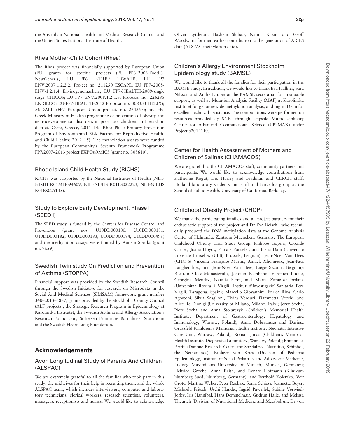the Australian National Health and Medical Research Council and the United States National Institute of Health.

#### Rhea Mother-Child Cohort (Rhea)

The Rhea project was financially supported by European Union (EU) grants for specific projects (EU FP6–2003-Food-3- NewGeneris; EU FP6. STREP HiWATE; EU FP7 ENV.2007.1.2.2.2. Project no. 211250 ESCAPE; EU FP7–2008- ENV-1.2.1.4 Envirogenomarkers; EU FP7-HEALTH-2009-single stage CHICOS; EU FP7 ENV.2008.1.2.1.6. Proposal no. 226285 ENRIECO; EU-FP7-HEALTH-2012 Proposal no. 308333 HELIX); MeDALL (FP7 European Union project, no. 264357); and the Greek Ministry of Health (programme of prevention of obesity and neurodevelopmental disorders in preschool children, in Heraklion district, Crete, Greece, 2011–14; 'Rhea Plus': Primary Prevention Program of Environmental Risk Factors for Reproductive Health, and Child Health: 2012–15). The methylation assays were funded by the European Community's Seventh Framework Programme FP7/2007–2013 project EXPOsOMICS (grant no. 308610).

#### Rhode Island Child Health Study (RICHS)

RICHS was supported by the National Institutes of Health (NIH-NIMH R01MH094609, NIH-NIEHS R01ES022223, NIH-NIEHS R01ES025145).

### Study to Explore Early Development, Phase I (SEED I)

The SEED study is funded by the Centers for Disease Control and Prevention (grant nos. U10DD000180, U10DD000181, U10DD000182, U10DD000183, U10DD000184, U10DD000498) and the methylation assays were funded by Autism Speaks (grant no. 7659).

#### Swedish Twin study On Prediction and Prevention of Asthma (STOPPA)

Financial support was provided by the Swedish Research Council through the Swedish Initiative for research on Microdata in the Social And Medical Sciences (SIMSAM) framework grant number 340–2013–5867, grants provided by the Stockholm County Council (ALF projects), the Strategic Research Program in Epidemiology at Karolinska Institutet, the Swedish Asthma and Allergy Association's Research Foundation, Stiftelsen Frimurare Barnahuset Stockholm and the Swedish Heart-Lung Foundation.

### Acknowledgements

### Avon Longitudinal Study of Parents And Children (ALSPAC)

We are extremely grateful to all the families who took part in this study, the midwives for their help in recruiting them, and the whole ALSPAC team, which includes interviewers, computer and laboratory technicians, clerical workers, research scientists, volunteers, managers, receptionists and nurses. We would like to acknowledge

Oliver Lyttleton, Hashem Shihab, Nabila Kazmi and Geoff Woodward for their earlier contribution to the generation of ARIES data (ALSPAC methylation data).

### Children's Allergy Environment Stockholm Epidemiology study (BAMSE)

We would like to thank all the families for their participation in the BAMSE study. In addition, we would like to thank Eva Hallner, Sara Nilsson and André Lauber at the BAMSE secretariat for invaluable support, as well as Mutation Analysis Facility (MAF) at Karolinska Institutet for genome-wide methylation analysis, and Ingrid Delin for excellent technical assistance. The computations were performed on resources provided by SNIC through Uppsala Multidisciplinary Center for Advanced Computational Science (UPPMAX) under Project b2014110.

### Center for Health Assessment of Mothers and Children of Salinas (CHAMACOS)

We are grateful to the CHAMACOS staff, community partners and participants. We would like to acknowledge contributions from Katherine Kogut, Drs Harley and Bradman and CERCH staff, Holland laboratory students and staff and Barcellos group at the School of Public Health, University of California, Berkeley.

#### Childhood Obesity Project (CHOP)

We thank the participating families and all project partners for their enthusiastic support of the project and Dr Eva Reischl, who technically produced the DNA methylation data at the Genome Analysis Center of Helmholtz Zentrum Muenchen, Germany. The European Childhood Obesity Trial Study Group: Philippe Goyens, Clotilde Carlier, Joana Hoyos, Pascale Poncelet, and Elena Dain (Universite Libre de Bruxelles (ULB) Brussels, Belgium); Jean-Noel Van Hees (CHC St Vincent: Françoise Martin, Annick Xhonneux, Jean-Paul Langhendries, and Jean-Noel Van Hees, Liège-Rocourt, Belgium); Ricardo Closa-Monasterolo, Joaquin Escribano, Veronica Luque, Georgina Mendez, Natalia Ferre, and Marta Zaragoza-Jordana (Universitat Rovira i Virgili, Institut d'Investigacio Sanitaria Pere Virgili, Taragona, Spain); Marcello Giovannini, Enrica Riva, Carlo Agostoni, Silvia Scaglioni, Elvira Verduci, Fiammetta Vecchi, and Alice Re Dionigi (University of Milano, Milano, Italy); Jerzy Socha, Piotr Socha and Anna Stolarczyk (Children's Memorial Health Institute, Department of Gastroenterology, Hepatology and Immunology, Warsaw, Poland); Anna Dobrzanska and Dariusz Gruszfeld (Children's Memorial Health Institute, Neonatal Intensive Care Unit, Warsaw, Poland); Roman Janas (Children's Memorial Health Institute, Diagnostic Laboratory, Warsaw, Poland); Emmanuel Perrin (Danone Research Centre for Specialized Nutrition, Schiphol, the Netherlands); Rudiger von Kries (Division of Pediatric Epidemiology, Institute of Social Pediatrics and Adolescent Medicine, Ludwig Maximilians University of Munich, Munich, Germany); Helfried Groebe, Anna Reith, and Renate Hofmann (Klinikum Nurnberg Sued, Nurnberg, Germany); and Berthold Koletzko, Veit Grote, Martina Weber, Peter Rzehak, Sonia Schiess, Jeannette Beyer, Michaela Fritsch, Uschi Handel, Ingrid Pawellek, Sabine Verwied-Jorky, Iris Hannibal, Hans Demmelmair, Gudrun Haile, and Melissa Theurich (Division of Nutritional Medicine and Metabolism, Dr von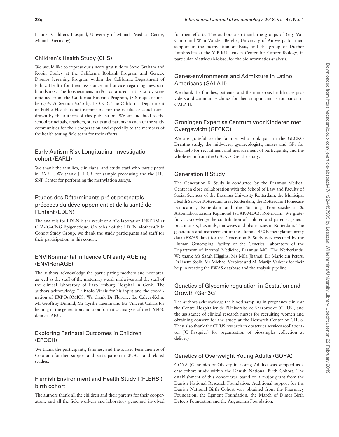Hauner Childrens Hospital, University of Munich Medical Centre, Munich, Germany).

### Children's Health Study (CHS)

We would like to express our sincere gratitude to Steve Graham and Robin Cooley at the California Biobank Program and Genetic Disease Screening Program within the California Department of Public Health for their assistance and advice regarding newborn bloodspots. The biospecimens and/or data used in this study were obtained from the California Biobank Program, (SIS request number(s) 479)' Section 6555(b), 17 CCR. The California Department of Public Health is not responsible for the results or conclusions drawn by the authors of this publication. We are indebted to the school principals, teachers, students and parents in each of the study communities for their cooperation and especially to the members of the health testing field team for their efforts.

### Early Autism Risk Longitudinal Investigation cohort (EARLI)

We thank the families, clinicians, and study staff who participated in EARLI. We thank J.H.B.R. for sample processing and the JHU SNP Center for performing the methylation assays.

### Etudes des Déterminants pré et postnatals précoces du développement et de la santé de l'Enfant (EDEN)

The analysis for EDEN is the result of a 'Collaboration INSERM et CEA-IG-CNG Epigenetique. On behalf of the EDEN Mother-Child Cohort Study Group, we thank the study participants and staff for their participation in this cohort.

### ENVIRonmental influence ON early AGEing (ENVIRonAGE)

The authors acknowledge the participating mothers and neonates, as well as the staff of the maternity ward, midwives and the staff of the clinical laboratory of East-Limburg Hospital in Genk. The authors acknowledge Dr Paolo Vineis for his input and the coordination of EXPOsOMICS. We thank Dr Florence Le Calvez-Kelm, Mr Geoffroy Durand, Mr Cyrille Cuenin and Mr Vincent Cahais for helping in the generation and bioinformatics analysis of the HM450 data at IARC.

### Exploring Perinatal Outcomes in Children (EPOCH)

We thank the participants, families, and the Kaiser Permanenete of Colorado for their support and participation in EPOCH and related studies.

### Flemish Environment and Health Study I (FLEHSI) birth cohort

The authors thank all the children and their parents for their cooperation, and all the field workers and laboratory personnel involved

for their efforts. The authors also thank the groups of Guy Van Camp and Wim Vanden Berghe, University of Antwerp, for their support in the methylation analysis, and the group of Diether Lambrechts at the VIB-KU Leuven Center for Cancer Biology, in particular Matthieu Moisse, for the bioinformatics analysis.

### Genes-environments and Admixture in Latino Americans (GALA II)

We thank the families, patients, and the numerous health care providers and community clinics for their support and participation in GALA II.

### Groningen Expertise Centrum voor Kinderen met Overgewicht (GECKO)

We are grateful to the families who took part in the GECKO Drenthe study, the midwives, gynaecologists, nurses and GPs for their help for recruitment and measurement of participants, and the whole team from the GECKO Drenthe study.

### Generation R Study

The Generation R Study is conducted by the Erasmus Medical Center in close collaboration with the School of Law and Faculty of Social Sciences of the Erasmus University Rotterdam, the Municipal Health Service Rotterdam area, Rotterdam, the Rotterdam Homecare Foundation, Rotterdam and the Stichting Trombosedienst & Artsenlaboratorium Rijnmond (STAR-MDC), Rotterdam. We gratefully acknowledge the contribution of children and parents, general practitioners, hospitals, midwives and pharmacies in Rotterdam. The generation and management of the Illumina 450 K methylation array data (EWAS data) for the Generation R Study was executed by the Human Genotyping Facility of the Genetics Laboratory of the Department of Internal Medicine, Erasmus MC, The Netherlands. We thank Ms Sarah Higgins, Ms Mila Jhamai, Dr Marjolein Peters, DrLisette Stolk, Mr Michael Verbiest and M. Marijn Verkerk for their help in creating the EWAS database and the analysis pipeline.

### Genetics of Glycemic regulation in Gestation and Growth (Gen3G)

The authors acknowledge the blood sampling in pregnancy clinic at the Centre Hospitalier de l'Universite de Sherbrooke (CHUS), and the assistance of clinical research nurses for recruiting women and obtaining consent for the study at the Research Center of CHUS. They also thank the CHUS research in obstetrics services (collaborator JC Pasquier) for organization of biosamples collection at delivery.

### Genetics of Overweight Young Adults (GOYA)

GOYA (Genomics of Obesity in Young Adults) was sampled as a case-cohort study within the Danish National Birth Cohort. The establishment of this cohort was based on a major grant from the Danish National Research Foundation. Additional support for the Danish National Birth Cohort was obtained from the Pharmacy Foundation, the Egmont Foundation, the March of Dimes Birth Defects Foundation and the Augustinus Foundation.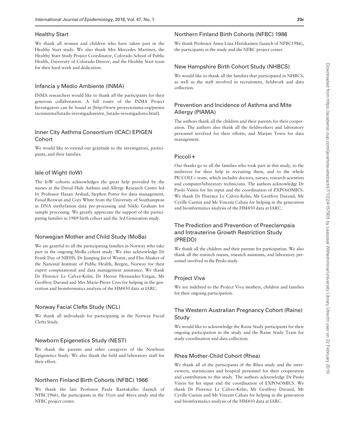#### Healthy Start

We thank all women and children who have taken part in the Healthy Start study. We also thank Mrs Mercedes Martinez, the Healthy Start Study Project Coordinator, Colorado School of Public Health, University of Colorado Denver, and the Healthy Start team for their hard work and dedication.

#### Infancia y Medio Ambiente (INMA)

INMA researchers would like to thank all the participants for their generous collaboration. A full roster of the INMA Project Investigators can be found at [[http://www.proyectoinma.org/presen](http://www.proyectoinma.org/presentacioninma/listado-investigadores/en_listado-investigadores.html) [tacioninma/listado-investigadores/en\\_listado-investigadores.html\]](http://www.proyectoinma.org/presentacioninma/listado-investigadores/en_listado-investigadores.html).

### Inner City Asthma Consortium (ICAC) EPIGEN **Cohort**

We would like to extend our gratitude to the investigators, participants, and their families.

#### Isle of Wight (IoW)

The IoW cohorts acknowledges the great help provided by the nurses at the David Hide Asthma and Allergy Research Centre led by Professor Hasan Arshad, Stephen Potter for data management, Faisal Rezwan and Cory White from the University of Southampton in DNA methylation data pre-processing and Nikki Graham for sample processing. We greatly appreciate the support of the participating families in 1989 birth cohort and the 3rd Generation study.

#### Norwegian Mother and Child Study (MoBa)

We are grateful to all the participating families in Norway who take part in the ongoing MoBa cohort study. We also acknowledge Dr Frank Day of NIEHS, Dr Jianping Jin of Westat, and Elin Alsaker of the National Institute of Public Health, Bergen, Norway for their expert computational and data management assistance. We thank Dr Florence Le Calvez-Kelm, Dr Hector Hernandez-Vargas, Mr Geoffroy Durand and Mrs Marie-Pierre Cros for helping in the generation and bioinformatics analysis of the HM450 data at IARC.

#### Norway Facial Clefts Study (NCL)

We thank all individuals for participating in the Norway Facial Clefts Study.

#### Newborn Epigenetics Study (NEST)

We thank the parents and other caregivers of the Newborn Epigenetics Study. We also thank the field and laboratory staff for their effort.

#### Northern Finland Birth Cohorts (NFBC) 1966

We thank the late Professor Paula Rantakallio (launch of NFBC1966), the participants in the 31yrs and 46yrs study and the NFBC project center.

#### Northern Finland Birth Cohorts (NFBC) 1986

We thank Professor Anna-Liisa Hartikainen (launch of NFBC1986), the participants in the study and the NFBC project center.

#### New Hampshire Birth Cohort Study (NHBCS)

We would like to thank all the families that participated in NHBCS, as well as the staff involved in recruitment, fieldwork and data collection.

### Prevention and Incidence of Asthma and Mite Allergy (PIAMA)

The authors thank all the children and their parents for their cooperation. The authors also thank all the fieldworkers and laboratory personnel involved for their efforts, and Marjan Tewis for data management.

#### Piccoli+

Our thanks go to all the families who took part in this study, to the midwives for their help in recruiting them, and to the whole  $PICCOLI + team$ , which includes doctors, nurses, research scientists and computer/laboratory technicians. The authors acknowledge Dr Paolo Vineis for his input and the coordination of EXPOsOMICS. We thank Dr Florence Le Calvez-Kelm, Mr Geoffroy Durand, Mr Cyrille Cuenin and Mr Vincent Cahais for helping in the generation and bioinformatics analysis of the HM450 data at IARC.

### The Prediction and Prevention of Preeclampsia and Intrauterine Growth Restriction Study (PREDO)

We thank all the children and their parents for participation. We also thank all the research nurses, research assistants, and laboratory personnel involved in the Predo study.

#### Project Viva

We are indebted to the Project Viva mothers, children and families for their ongoing participation.

### The Western Australian Pregnancy Cohort (Raine) **Study**

We would like to acknowledge the Raine Study participants for their ongoing participation in the study and the Raine Study Team for study coordination and data collection.

#### Rhea Mother-Child Cohort (Rhea)

We thank all of the participants of the Rhea study and the interviewers, statisticians and hospital personnel for their cooperation and contribution to this study. The authors acknowledge Dr Paolo Vineis for his input and the coordination of EXPOsOMICS. We thank Dr Florence Le Calvez-Kelm, Mr Geoffroy Durand, Mr Cyrille Cuenin and Mr Vincent Cahais for helping in the generation and bioinformatics analysis of the HM450 data at IARC.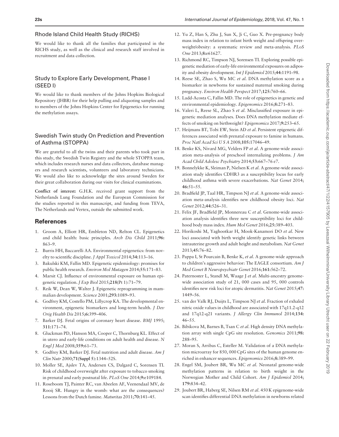### <span id="page-20-0"></span>Rhode Island Child Health Study (RICHS)

We would like to thank all the families that participated in the RICHS study, as well as the clinical and research staff involved in recruitment and data collection.

### Study to Explore Early Development, Phase I (SEED I)

We would like to thank members of the Johns Hopkins Biological Repository (JHBR) for their help pulling and aliquoting samples and to members of the Johns Hopkins Center for Epigenetics for running the methylation assays.

### Swedish Twin study On Prediction and Prevention of Asthma (STOPPA)

We are grateful to all the twins and their parents who took part in this study, the Swedish Twin Registry and the whole STOPPA team, which includes research nurses and data collectors, database managers and research scientists, volunteers and laboratory technicians. We would also like to acknowledge the sites around Sweden for their great collaboration during our visits for clinical examinations.

Conflict of interest: G.H.K. received grant support from the Netherlands Lung Foundation and the European Commission for the studies reported in this manuscript, and funding from TEVA, The Netherlands and Vertex, outside the submitted work.

### References

- 1. Groom A, Elliott HR, Embleton ND, Relton CL. Epigenetics and child health: basic principles. Arch Dis Child 2011;96: 863–9.
- 2. Burris HH, Baccarelli AA. Environmental epigenetics: from novelty to scientific discipline. J Appl Toxicol 2014;34:113–16.
- 3. Bakulski KM, Fallin MD. Epigenetic epidemiology: promises for public health research. Environ Mol Mutagen 2014;55:171–83.
- 4. Marsit CJ. Influence of environmental exposure on human epigenetic regulation. J Exp Biol 2015;218(Pt 1):71–79.
- 5. Reik W, Dean W, Walter J. Epigenetic reprogramming in mammalian development. Science 2001;293:1089–93.
- 6. Godfrey KM, Costello PM, Lillycrop KA. The developmental environment, epigenetic biomarkers and long-term health. J Dev Orig Health Dis 2015;6:399–406.
- 7. Barker DJ. Fetal origins of coronary heart disease. BMJ 1995; 311:171–74.
- 8. Gluckman PD, Hanson MA, Cooper C, Thornburg KL. Effect of in utero and early-life conditions on adult health and disease. N Engl J Med 2008;359:61–73.
- 9. Godfrey KM, Barker DJ. Fetal nutrition and adult disease. Am J Clin Nutr 2000;71(Suppl 5):1344–52S.
- 10. Moller SE, Ajslev TA, Andersen CS, Dalgard C, Sorensen TI. Risk of childhood overweight after exposure to tobacco smoking in prenatal and early postnatal life. PLoS One 2014;9:e109184.
- 11. Roseboom TJ, Painter RC, van Abeelen AF, Veenendaal MV, de Rooij SR. Hungry in the womb: what are the consequences? Lessons from the Dutch famine. Maturitas 2011;70:141–45.
- 12. Yu Z, Han S, Zhu J, Sun X, Ji C, Guo X. Pre-pregnancy body mass index in relation to infant birth weight and offspring overweight/obesity: a systematic review and meta-analysis. PLoS One 2013;8:e61627.
- 13. Richmond RC, Timpson NJ, Sorensen TI. Exploring possible epigenetic mediation of early-life environmental exposures on adiposity and obesity development. Int J Epidemiol 2015;44:1191–98.
- 14. Reese SE, Zhao S, Wu MC et al. DNA methylation score as a biomarker in newborns for sustained maternal smoking during pregnancy. Environ Health Perspect 2017;125:760–66.
- 15. Ladd-Acosta C, Fallin MD. The role of epigenetics in genetic and environmental epidemiology. Epigenomics 2016;8:271–83.
- 16. Valeri L, Reese SL, Zhao S et al. Misclassified exposure in epigenetic mediation analyses. Does DNA methylation mediate effects of smoking on birthweight? Epigenomics 2017;9:253–65.
- 17. Heijmans BT, Tobi EW, Stein AD et al. Persistent epigenetic differences associated with prenatal exposure to famine in humans. Proc Natl Acad Sci U S A 2008;105:17046–49.
- 18. Benke KS, Nivard MG, Velders FP et al. A genome-wide association meta-analysis of preschool internalizing problems. J Am Acad Child Adolesc Psychiatry 2014;53:667–76 e7.
- 19. Bonnelykke K, Sleiman P, Nielsen K et al. A genome-wide association study identifies CDHR3 as a susceptibility locus for early childhood asthma with severe exacerbations. Nat Genet 2014; 46:51–55.
- 20. Bradfield JP, Taal HR, Timpson NJ et al. A genome-wide association meta-analysis identifies new childhood obesity loci. Nat Genet 2012;44:526–31.
- 21. Felix JF, Bradfield JP, Monnereau C et al. Genome-wide association analysis identifies three new susceptibility loci for childhood body mass index. Hum Mol Genet 2016;25:389–403.
- 22. Horikoshi M, Yaghootkar H, Mook-Kanamori DO et al. New loci associated with birth weight identify genetic links between intrauterine growth and adult height and metabolism. Nat Genet 2013;45:76–82.
- 23. Pappa I, St Pourcain B, Benke K, et al. A genome-wide approach to children's aggressive behavior: The EAGLE consortium. Am J Med Genet B Neuropsychiatr Genet 2016;161:562–72.
- 24. Paternoster L, Standl M, Waage J et al. Multi-ancestry genomewide association study of 21, 000 cases and 95, 000 controls identifies new risk loci for atopic dermatitis. Nat Genet 2015;47: 1449–56.
- 25. van der Valk RJ, Duijts L, Timpson NJ et al. Fraction of exhaled nitric oxide values in childhood are associated with 17q11.2-q12 and 17q12-q21 variants. J Allergy Clin Immunol 2014;134: 46–55.
- 26. Bibikova M, Barnes B, Tsan C et al. High density DNA methylation array with single CpG site resolution. Genomics 2011;98: 288–95.
- 27. Moran S, Arribas C, Esteller M. Validation of a DNA methylation microarray for 850, 000 CpG sites of the human genome enriched in enhancer sequences. Epigenomics 2016;8:389–99.
- 28. Engel SM, Joubert BR, Wu MC et al. Neonatal genome-wide methylation patterns in relation to birth weight in the Norwegian Mother and Child Cohort. Am J Epidemiol 2014; 179:834–42.
- 29. Joubert BR, Haberg SE, Nilsen RM et al. 450 K epigenome-wide scan identifies differential DNA methylation in newborns related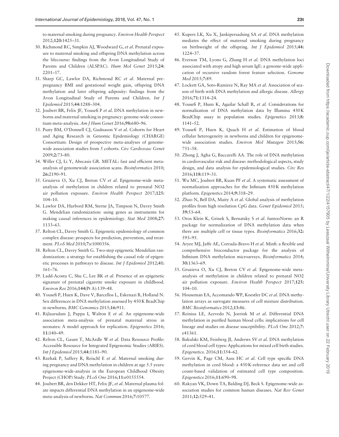<span id="page-21-0"></span>to maternal smoking during pregnancy. Environ Health Perspect 2012;120:1425–31.

- 30. Richmond RC, Simpkin AJ, Woodward G, et al. Prenatal exposure to maternal smoking and offspring DNA methylation across the lifecourse: findings from the Avon Longitudinal Study of Parents and Children (ALSPAC). Hum Mol Genet 2015;24: 2201–17.
- 31. Sharp GC, Lawlor DA, Richmond RC et al. Maternal prepregnancy BMI and gestational weight gain, offspring DNA methylation and later offspring adiposity: findings from the Avon Longitudinal Study of Parents and Children. Int J Epidemiol 2015;44:1288–304.
- 32. Joubert BR, Felix JF, Yousefi P et al. DNA methylation in newborns and maternal smoking in pregnancy: genome-wide consortium meta-analysis. Am J Hum Genet 2016;98:680-96.
- 33. Psaty BM, O'Donnell CJ, Gudnason V et al. Cohorts for Heart and Aging Research in Genomic Epidemiology (CHARGE) Consortium: Design of prospective meta-analyses of genomewide association studies from 5 cohorts. Circ Cardiovasc Genet 2009;2:73–80.
- 34. Willer CJ, Li Y, Abecasis GR. METAL: fast and efficient metaanalysis of genomewide association scans. Bioinformatics 2010; 26:2190–91.
- 35. Gruzieva O, Xu CJ, Breton CV et al. Epigenome-wide metaanalysis of methylation in children related to prenatal NO2 air pollution exposure. Environ Health Perspect 2017;125: 104–10.
- 36. Lawlor DA, Harbord RM, Sterne JA, Timpson N, Davey Smith G. Mendelian randomization: using genes as instruments for making causal inferences in epidemiology. Stat Med 2008;27: 1133–63.
- 37. Relton CL, Davey Smith G. Epigenetic epidemiology of common complex disease: prospects for prediction, prevention, and treatment. PLoS Med 2010;7:e1000356.
- 38. Relton CL, Davey Smith G. Two-step epigenetic Mendelian randomization: a strategy for establishing the causal role of epigenetic processes in pathways to disease. Int J Epidemiol 2012;41: 161–76.
- 39. Ladd-Acosta C, Shu C, Lee BK et al. Presence of an epigenetic signature of prenatal cigarette smoke exposure in childhood. Environ Res 2016;144(Pt A):139–48.
- 40. Yousefi P, Huen K, Dave V, Barcellos L, Eskenazi B, Holland N. Sex differences in DNA methylation assessed by 450 K BeadChip in newborns. BMC Genomics 2015;16:911.
- 41. Rijlaarsdam J, Pappa I, Walton E et al. An epigenome-wide association meta-analysis of prenatal maternal stress in neonates: A model approach for replication. Epigenetics 2016; 11:140–49.
- 42. Relton CL, Gaunt T, McArdle W et al. Data Resource Profile: Accessible Resource for Integrated Epigenomic Studies (ARIES). Int J Epidemiol 2015;44:1181–90.
- 43. Rzehak P, Saffery R, Reischl E et al. Maternal smoking during pregnancy and DNA methylation in children at age 5.5 years: epigenome-wide-analysis in the European Childhood Obesity Project (CHOP) Study. PLoS One 2016;11:e0155554.
- 44. Joubert BR, den Dekker HT, Felix JF, et al. Maternal plasma folate impacts differential DNA methylation in an epigenome-wide meta-analysis of newborns. Nat Commun 2016;7:10577.
- 45. Kupers LK, Xu X, Jankipersadsing SA et al. DNA methylation mediates the effect of maternal smoking during pregnancy on birthweight of the offspring. Int J Epidemiol 2015;44: 1224–37.
- 46. Everson TM, Lyons G, Zhang H et al. DNA methylation loci associated with atopy and high serum IgE: a genome-wide application of recursive random forest feature selection. Genome Med 2015;7:89.
- 47. Lockett GA, Soto-Ramirez N, Ray MA et al. Association of season of birth with DNA methylation and allergic disease. Allergy 2016;71:1314–24.
- 48. Yousefi P, Huen K, Aguilar Schall R, et al. Considerations for normalization of DNA methylation data by Illumina 450 K BeadChip assay in population studies. Epigenetics 2013;8: 1141–52.
- 49. Yousefi P, Huen K, Quach H et al. Estimation of blood cellular heterogeneity in newborns and children for epigenomewide association studies. Environ Mol Mutagen 2015;56: 751–58.
- 50. Zhong J, Agha G, Baccarelli AA. The role of DNA methylation in cardiovascular risk and disease: methodological aspects, study design, and data analysis for epidemiological studies. Circ Res 2016;118:119–31.
- 51. Wu MC, Joubert BR, Kuan PF et al. A systematic assessment of normalization approaches for the Infinium 450 K methylation platform. Epigenetics 2014;9:318–29.
- 52. Zhao N, Bell DA, Maity A et al. Global analysis of methylation profiles from high resolution CpG data. Genet Epidemiol 2015; 39:53–64.
- 53. Oros Klein K, Grinek S, Bernatsky S et al. funtooNorm: an R package for normalization of DNA methylation data when there are multiple cell or tissue types. Bioinformatics 2016;32: 593–95.
- 54. Aryee MJ, Jaffe AE, Corrada-Bravo H et al. Minfi: a flexible and comprehensive bioconductor package for the analysis of Infinium DNA methylation microarrays. Bioinformatics 2014; 30:1363–69.
- 55. Gruzieva O, Xu CJ, Breton CV et al. Epigenome-wide metaanalysis of methylation in children related to prenatal NO2 air pollution exposure. Environ Health Perspect 2017;125: 104–10.
- 56. Houseman EA, Accomando WP, Koestler DC et al. DNA methylation arrays as surrogate measures of cell mixture distribution. BMC Bioinformatics 2012;13:86.
- 57. Reinius LE, Acevedo N, Joerink M et al. Differential DNA methylation in purified human blood cells: implications for cell lineage and studies on disease susceptibility. PLoS One 2012;7: e41361.
- 58. Bakulski KM, Feinberg JI, Andrews SV et al. DNA methylation of cord blood cell types: Applications for mixed cell birth studies. Epigenetics. 2016;11:354–62.
- 59. Gervin K, Page CM, Aass HC et al. Cell type specific DNA methylation in cord blood: a 450 K-reference data set and cell count-based validation of estimated cell type composition. Epigenetics 2016;11:690–98.
- 60. Rakyan VK, Down TA, Balding DJ, Beck S. Epigenome-wide association studies for common human diseases. Nat Rev Genet 2011;12:529–41.